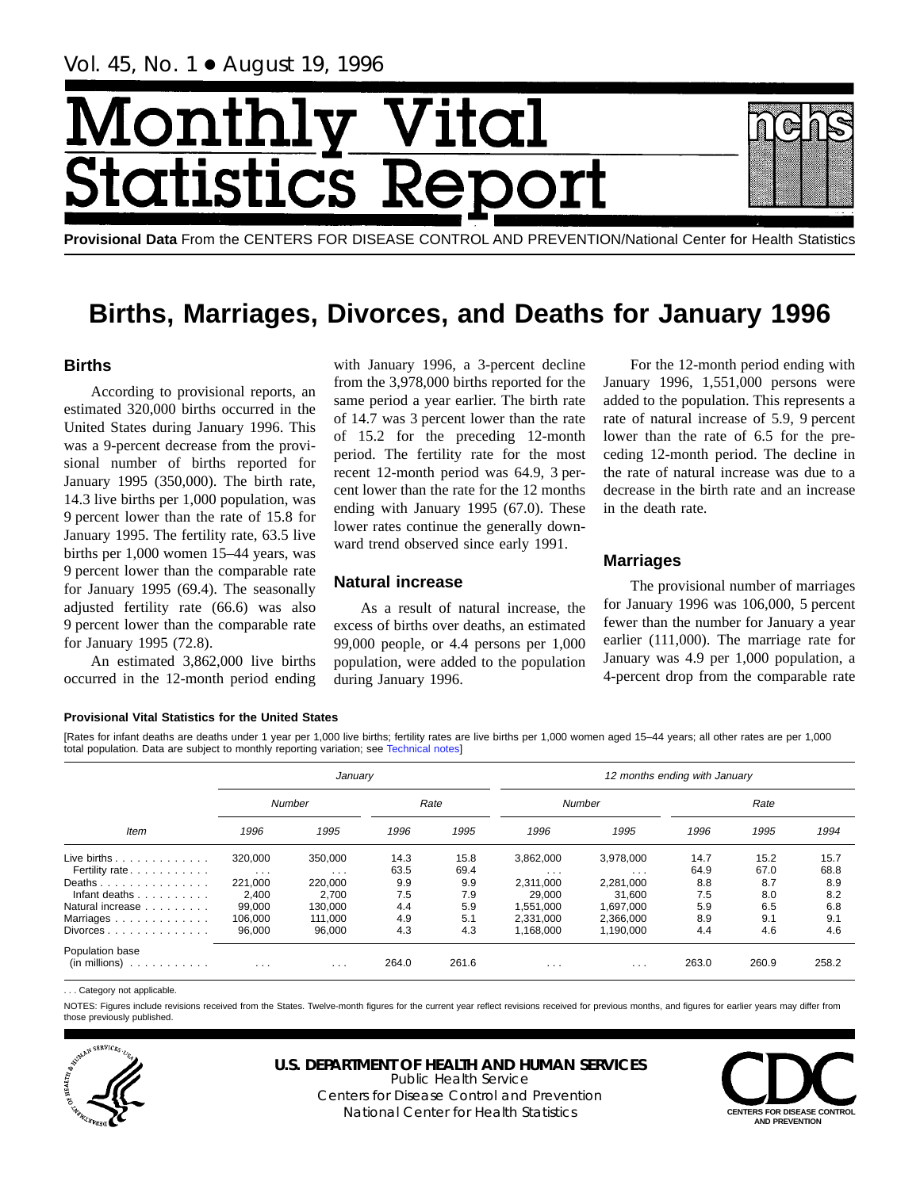# Month Vital tics R tatist

**Provisional Data** From the CENTERS FOR DISEASE CONTROL AND PREVENTION/National Center for Health Statistics

## **Births, Marriages, Divorces, and Deaths for January 1996**

## **Births**

According to provisional reports, an estimated 320,000 births occurred in the United States during January 1996. This was a 9-percent decrease from the provisional number of births reported for January 1995 (350,000). The birth rate, 14.3 live births per 1,000 population, was 9 percent lower than the rate of 15.8 for January 1995. The fertility rate, 63.5 live births per 1,000 women 15–44 years, was 9 percent lower than the comparable rate for January 1995 (69.4). The seasonally adjusted fertility rate (66.6) was also 9 percent lower than the comparable rate for January 1995 (72.8).

An estimated 3,862,000 live births occurred in the 12-month period ending

with January 1996, a 3-percent decline from the 3,978,000 births reported for the same period a year earlier. The birth rate of 14.7 was 3 percent lower than the rate of 15.2 for the preceding 12-month period. The fertility rate for the most recent 12-month period was 64.9, 3 percent lower than the rate for the 12 months ending with January 1995 (67.0). These lower rates continue the generally downward trend observed since early 1991.

## **Natural increase**

As a result of natural increase, the excess of births over deaths, an estimated 99,000 people, or 4.4 persons per 1,000 population, were added to the population during January 1996.

For the 12-month period ending with January 1996, 1,551,000 persons were added to the population. This represents a rate of natural increase of 5.9, 9 percent lower than the rate of 6.5 for the preceding 12-month period. The decline in the rate of natural increase was due to a decrease in the birth rate and an increase in the death rate.

## **Marriages**

The provisional number of marriages for January 1996 was 106,000, 5 percent fewer than the number for January a year earlier (111,000). The marriage rate for January was 4.9 per 1,000 population, a 4-percent drop from the comparable rate

## **Provisional Vital Statistics for the United States**

[Rates for infant deaths are deaths under 1 year per 1,000 live births; fertility rates are live births per 1,000 women aged 15–44 years; all other rates are per 1,000 total population. Data are subject to monthly reporting variation; see [Technical notes](#page-16-0)]

|                                        |                         | January             |              |              | 12 months ending with January |                                      |              |              |              |  |  |
|----------------------------------------|-------------------------|---------------------|--------------|--------------|-------------------------------|--------------------------------------|--------------|--------------|--------------|--|--|
|                                        | Number                  |                     | Rate         |              |                               | Number                               |              | Rate         |              |  |  |
| <b>Item</b>                            | 1996                    | 1995                | 1996         | 1995         | 1996                          | 1995                                 | 1996         | 1995         | 1994         |  |  |
| Live births $\ldots$<br>Fertility rate | 320,000<br>$\cdots$     | 350,000<br>$\cdots$ | 14.3<br>63.5 | 15.8<br>69.4 | 3,862,000<br>$\cdots$         | 3,978,000<br>$\cdot$ $\cdot$ $\cdot$ | 14.7<br>64.9 | 15.2<br>67.0 | 15.7<br>68.8 |  |  |
| Deaths<br>Infant deaths                | 221.000<br>2.400        | 220,000<br>2.700    | 9.9<br>7.5   | 9.9<br>7.9   | 2.311.000<br>29.000           | 2.281.000<br>31.600                  | 8.8<br>7.5   | 8.7<br>8.0   | 8.9<br>8.2   |  |  |
| Natural increase<br>Marriages          | 99.000<br>106,000       | 130.000<br>111.000  | 4.4<br>4.9   | 5.9<br>5.1   | 1,551,000<br>2.331.000        | 1.697.000<br>2,366,000               | 5.9<br>8.9   | 6.5<br>9.1   | 6.8<br>9.1   |  |  |
| Divorces<br>Population base            | 96,000                  | 96,000              | 4.3          | 4.3          | 1,168,000                     | 1,190,000                            | 4.4          | 4.6          | 4.6          |  |  |
| $(in$ millions $) \dots \dots \dots$   | $\cdot$ $\cdot$ $\cdot$ | $\cdots$            | 264.0        | 261.6        | $\cdot$ $\cdot$ $\cdot$       | $\cdots$                             | 263.0        | 260.9        | 258.2        |  |  |

. . . Category not applicable.

NOTES: Figures include revisions received from the States. Twelve-month figures for the current year reflect revisions received for previous months, and figures for earlier years may differ from those previously published.



## **U.S. DEPARTMENT OF HEALTH AND HUMAN SERVICES**

Public Health Service Centers for Disease Control and Prevention National Center for Health Statistics **CENTERS FOR DISEASE CONTROL** 

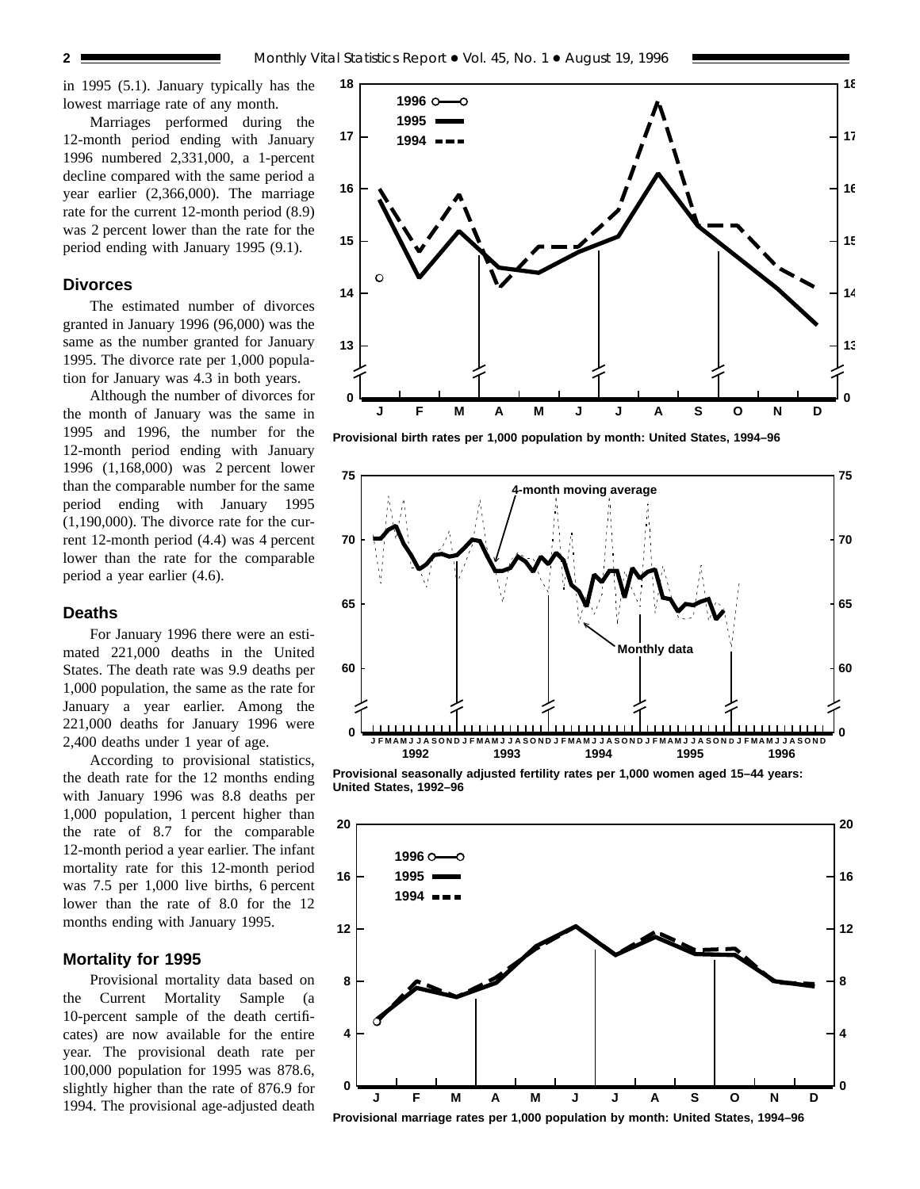in 1995 (5.1). January typically has the lowest marriage rate of any month.

Marriages performed during the 12-month period ending with January 1996 numbered 2,331,000, a 1-percent decline compared with the same period a year earlier (2,366,000). The marriage rate for the current 12-month period (8.9) was 2 percent lower than the rate for the period ending with January 1995 (9.1).

#### **Divorces**

The estimated number of divorces granted in January 1996 (96,000) was the same as the number granted for January 1995. The divorce rate per 1,000 population for January was 4.3 in both years.

Although the number of divorces for the month of January was the same in 1995 and 1996, the number for the 12-month period ending with January 1996 (1,168,000) was 2 percent lower than the comparable number for the same period ending with January 1995 (1,190,000). The divorce rate for the current 12-month period (4.4) was 4 percent lower than the rate for the comparable period a year earlier (4.6).

#### **Deaths**

For January 1996 there were an estimated 221,000 deaths in the United States. The death rate was 9.9 deaths per 1,000 population, the same as the rate for January a year earlier. Among the 221,000 deaths for January 1996 were 2,400 deaths under 1 year of age.

According to provisional statistics, the death rate for the 12 months ending with January 1996 was 8.8 deaths per 1,000 population, 1 percent higher than the rate of 8.7 for the comparable 12-month period a year earlier. The infant mortality rate for this 12-month period was 7.5 per 1,000 live births, 6 percent lower than the rate of 8.0 for the 12 months ending with January 1995.

## **Mortality for 1995**

Provisional mortality data based on the Current Mortality Sample (a 10-percent sample of the death certificates) are now available for the entire year. The provisional death rate per 100,000 population for 1995 was 878.6, slightly higher than the rate of 876.9 for 1994. The provisional age-adjusted death



**Provisional birth rates per 1,000 population by month: United States, 1994–96**



**Provisional seasonally adjusted fertility rates per 1,000 women aged 15–44 years: United States, 1992–96**

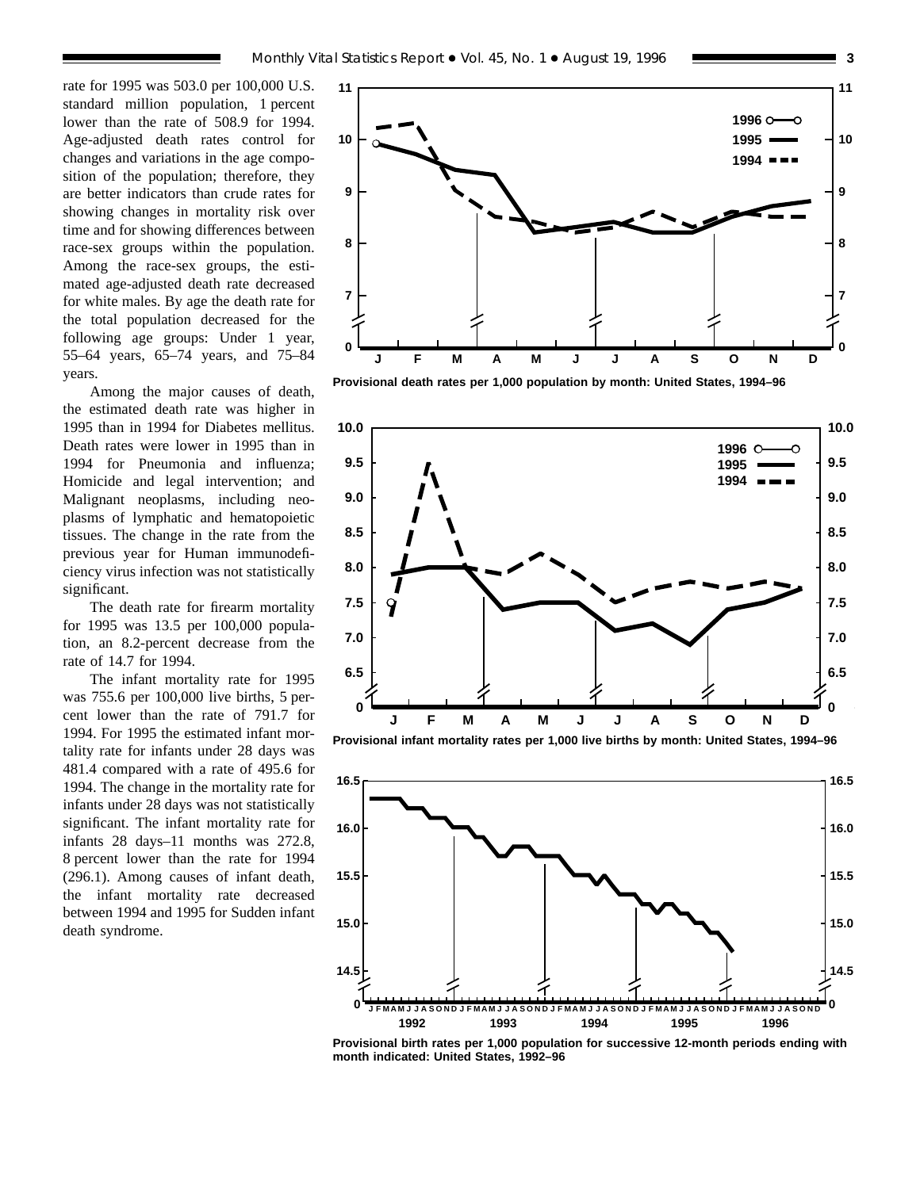rate for 1995 was 503.0 per 100,000 U.S. standard million population, 1 percent lower than the rate of 508.9 for 1994. Age-adjusted death rates control for changes and variations in the age composition of the population; therefore, they are better indicators than crude rates for showing changes in mortality risk over time and for showing differences between race-sex groups within the population. Among the race-sex groups, the estimated age-adjusted death rate decreased for white males. By age the death rate for the total population decreased for the following age groups: Under 1 year, 55–64 years, 65–74 years, and 75–84 years.

Among the major causes of death, the estimated death rate was higher in 1995 than in 1994 for Diabetes mellitus. Death rates were lower in 1995 than in 1994 for Pneumonia and influenza; Homicide and legal intervention; and Malignant neoplasms, including neoplasms of lymphatic and hematopoietic tissues. The change in the rate from the previous year for Human immunodeficiency virus infection was not statistically significant.

The death rate for firearm mortality for 1995 was 13.5 per 100,000 population, an 8.2-percent decrease from the rate of 14.7 for 1994.

The infant mortality rate for 1995 was 755.6 per 100,000 live births, 5 percent lower than the rate of 791.7 for 1994. For 1995 the estimated infant mortality rate for infants under 28 days was 481.4 compared with a rate of 495.6 for 1994. The change in the mortality rate for infants under 28 days was not statistically significant. The infant mortality rate for infants 28 days–11 months was 272.8, 8 percent lower than the rate for 1994 (296.1). Among causes of infant death, the infant mortality rate decreased between 1994 and 1995 for Sudden infant death syndrome.



**Provisional death rates per 1,000 population by month: United States, 1994–96**



**Provisional infant mortality rates per 1,000 live births by month: United States, 1994–96**



**Provisional birth rates per 1,000 population for successive 12-month periods ending with month indicated: United States, 1992–96**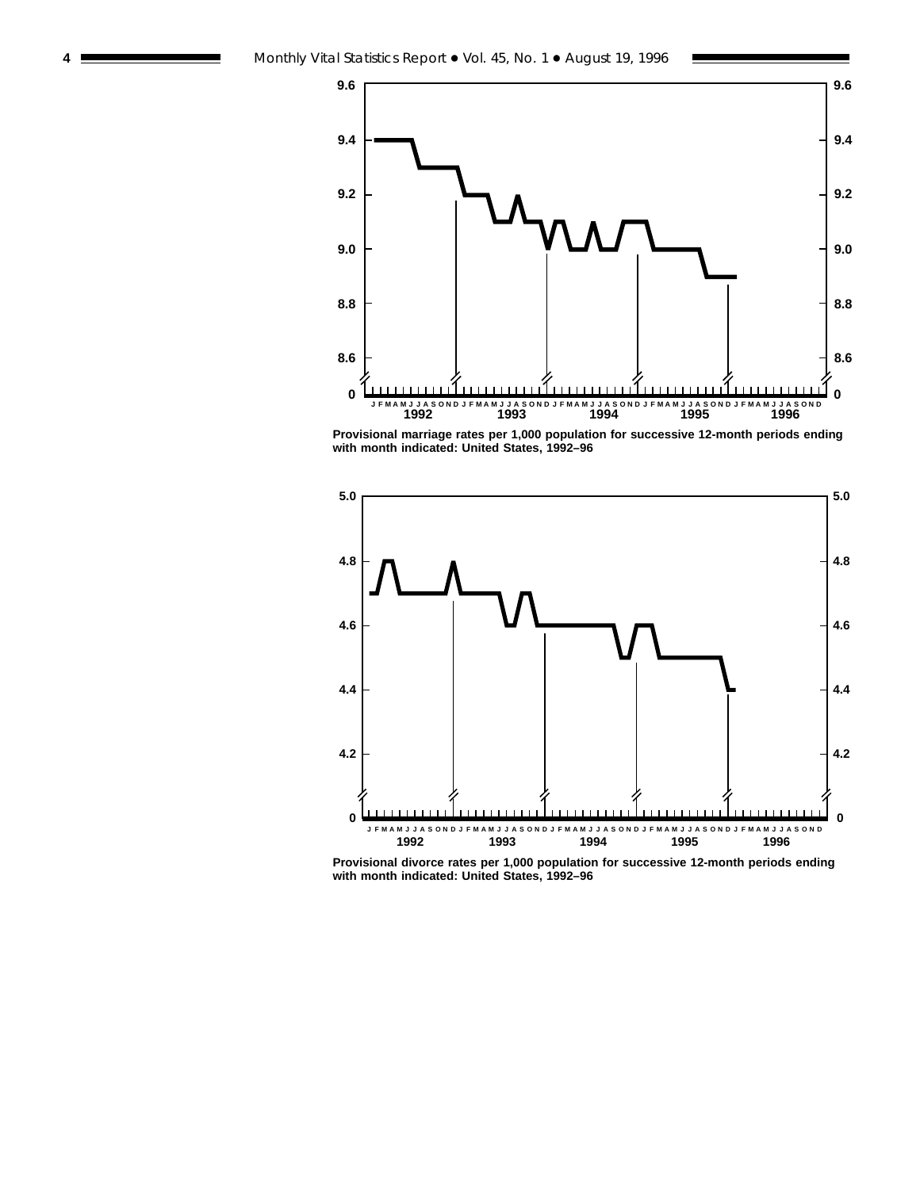

**Provisional marriage rates per 1,000 population for successive 12-month periods ending with month indicated: United States, 1992–96**



**Provisional divorce rates per 1,000 population for successive 12-month periods ending with month indicated: United States, 1992–96**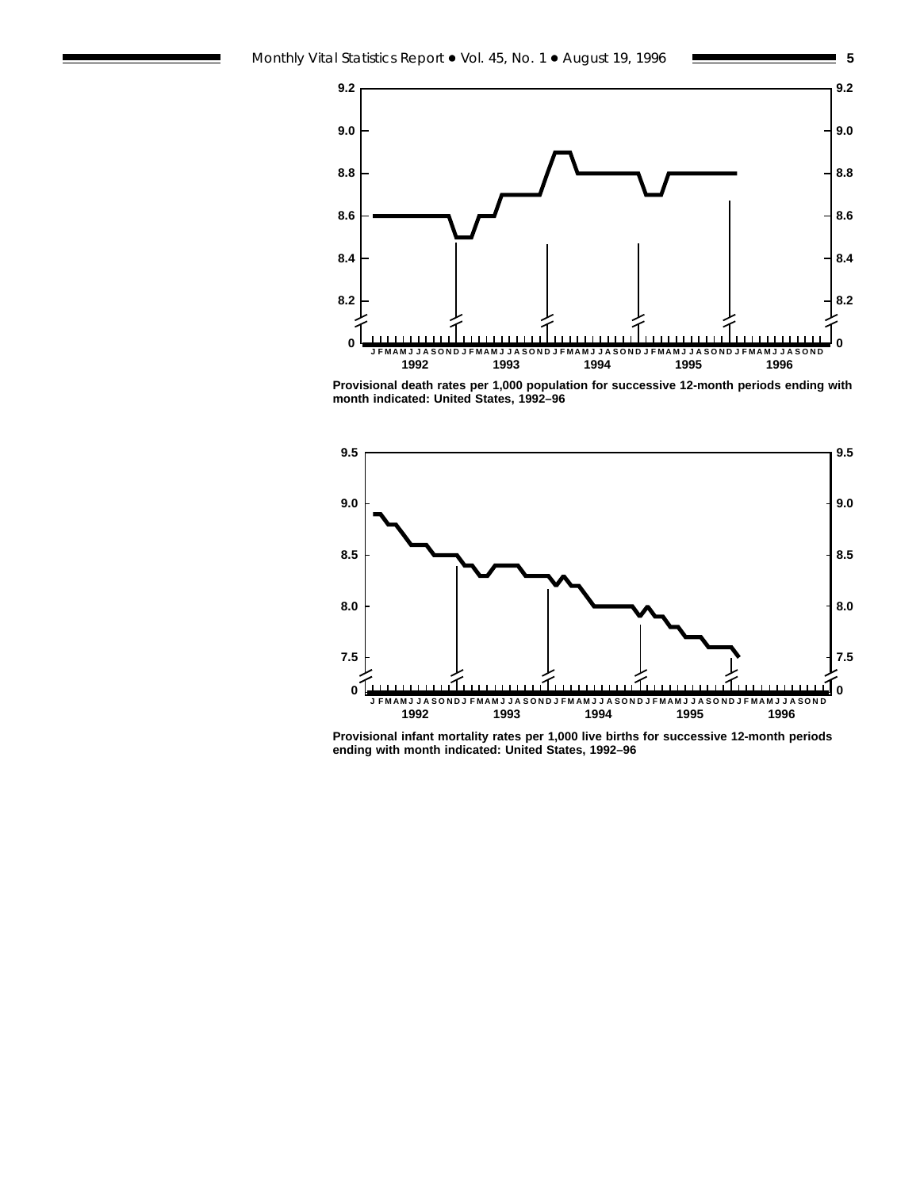

**Provisional death rates per 1,000 population for successive 12-month periods ending with month indicated: United States, 1992–96**



**Provisional infant mortality rates per 1,000 live births for successive 12-month periods ending with month indicated: United States, 1992–96**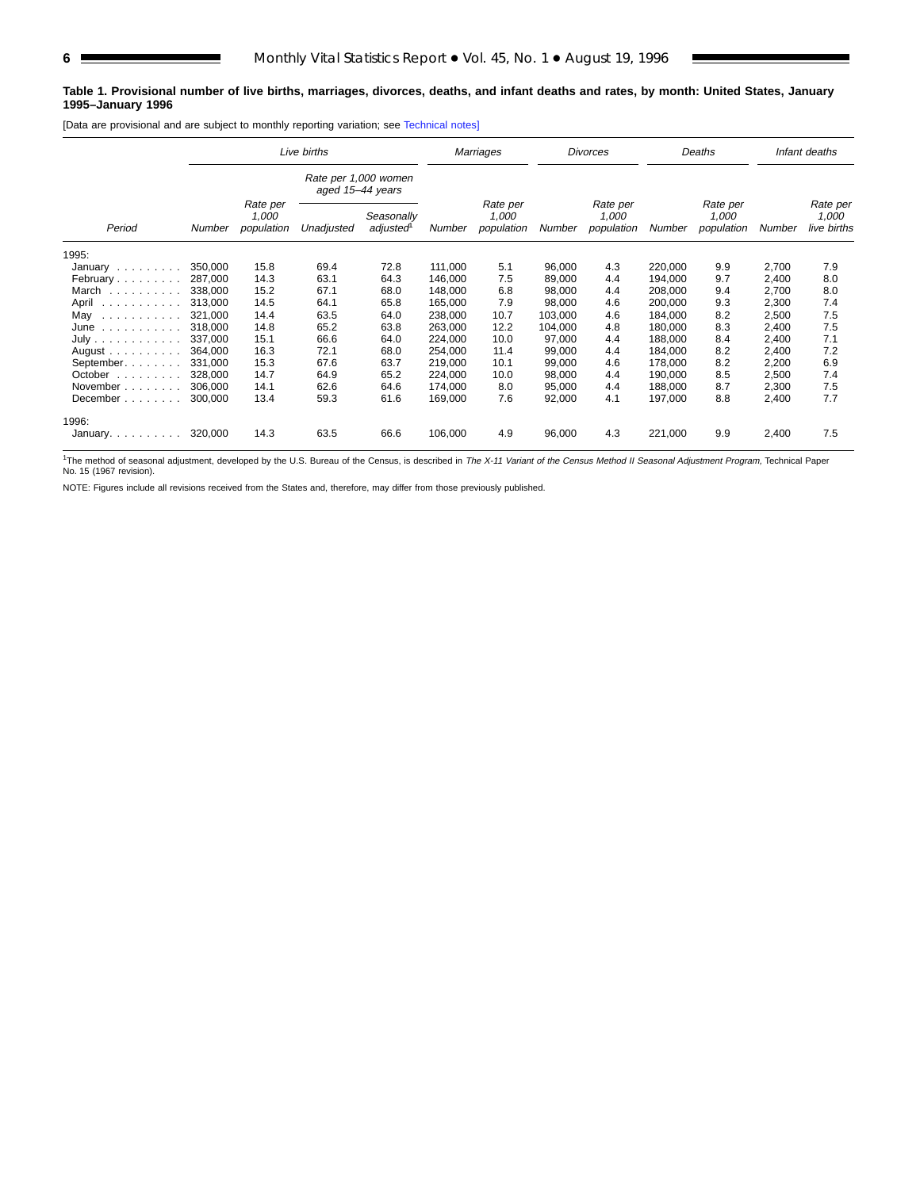#### **Table 1. Provisional number of live births, marriages, divorces, deaths, and infant deaths and rates, by month: United States, January 1995–January 1996**

[Data are provisional and are subject to monthly reporting variation; see [Technical notes\]](#page-16-0)

|                                                                                   |               |                                 | Live births                              |                        |         | Marriages                       |         | <b>Divorces</b>                 | Deaths  |                                 | Infant deaths |                                  |
|-----------------------------------------------------------------------------------|---------------|---------------------------------|------------------------------------------|------------------------|---------|---------------------------------|---------|---------------------------------|---------|---------------------------------|---------------|----------------------------------|
|                                                                                   |               |                                 | Rate per 1,000 women<br>aged 15-44 years |                        |         |                                 |         |                                 |         |                                 |               |                                  |
| Period                                                                            | <b>Number</b> | Rate per<br>1,000<br>population | Unadjusted                               | Seasonally<br>adjusted | Number  | Rate per<br>1,000<br>population | Number  | Rate per<br>1.000<br>population | Number  | Rate per<br>1.000<br>population | Number        | Rate per<br>1,000<br>live births |
| 1995:                                                                             |               |                                 |                                          |                        |         |                                 |         |                                 |         |                                 |               |                                  |
| January                                                                           | 350.000       | 15.8                            | 69.4                                     | 72.8                   | 111.000 | 5.1                             | 96,000  | 4.3                             | 220,000 | 9.9                             | 2,700         | 7.9                              |
| February                                                                          | 287.000       | 14.3                            | 63.1                                     | 64.3                   | 146.000 | 7.5                             | 89,000  | 4.4                             | 194,000 | 9.7                             | 2,400         | 8.0                              |
| March                                                                             | 338,000       | 15.2                            | 67.1                                     | 68.0                   | 148.000 | 6.8                             | 98.000  | 4.4                             | 208.000 | 9.4                             | 2,700         | 8.0                              |
| April<br>.                                                                        | 313,000       | 14.5                            | 64.1                                     | 65.8                   | 165,000 | 7.9                             | 98,000  | 4.6                             | 200,000 | 9.3                             | 2,300         | 7.4                              |
| May                                                                               | 321,000       | 14.4                            | 63.5                                     | 64.0                   | 238,000 | 10.7                            | 103,000 | 4.6                             | 184,000 | 8.2                             | 2,500         | 7.5                              |
| June<br>$\mathcal{A}$ , and $\mathcal{A}$ , and $\mathcal{A}$ , and $\mathcal{A}$ | 318,000       | 14.8                            | 65.2                                     | 63.8                   | 263,000 | 12.2                            | 104,000 | 4.8                             | 180,000 | 8.3                             | 2,400         | 7.5                              |
| July                                                                              | 337.000       | 15.1                            | 66.6                                     | 64.0                   | 224,000 | 10.0                            | 97,000  | 4.4                             | 188.000 | 8.4                             | 2,400         | 7.1                              |
| August $\ldots$ , $\ldots$ , $\ldots$                                             | 364.000       | 16.3                            | 72.1                                     | 68.0                   | 254,000 | 11.4                            | 99,000  | 4.4                             | 184,000 | 8.2                             | 2,400         | 7.2                              |
| September.                                                                        | 331,000       | 15.3                            | 67.6                                     | 63.7                   | 219,000 | 10.1                            | 99,000  | 4.6                             | 178,000 | 8.2                             | 2,200         | 6.9                              |
| October                                                                           | 328,000       | 14.7                            | 64.9                                     | 65.2                   | 224,000 | 10.0                            | 98,000  | 4.4                             | 190.000 | 8.5                             | 2,500         | 7.4                              |
| November                                                                          | 306.000       | 14.1                            | 62.6                                     | 64.6                   | 174,000 | 8.0                             | 95,000  | 4.4                             | 188,000 | 8.7                             | 2,300         | 7.5                              |
| December                                                                          | 300,000       | 13.4                            | 59.3                                     | 61.6                   | 169,000 | 7.6                             | 92,000  | 4.1                             | 197,000 | 8.8                             | 2,400         | 7.7                              |
| 1996:                                                                             |               |                                 |                                          |                        |         |                                 |         |                                 |         |                                 |               |                                  |
| January                                                                           | 320,000       | 14.3                            | 63.5                                     | 66.6                   | 106,000 | 4.9                             | 96,000  | 4.3                             | 221,000 | 9.9                             | 2,400         | 7.5                              |

<sup>1</sup>The method of seasonal adjustment, developed by the U.S. Bureau of the Census, is described in The X-11 Variant of the Census Method II Seasonal Adjustment Program, Technical Paper No. 15 (1967 revision).

NOTE: Figures include all revisions received from the States and, therefore, may differ from those previously published.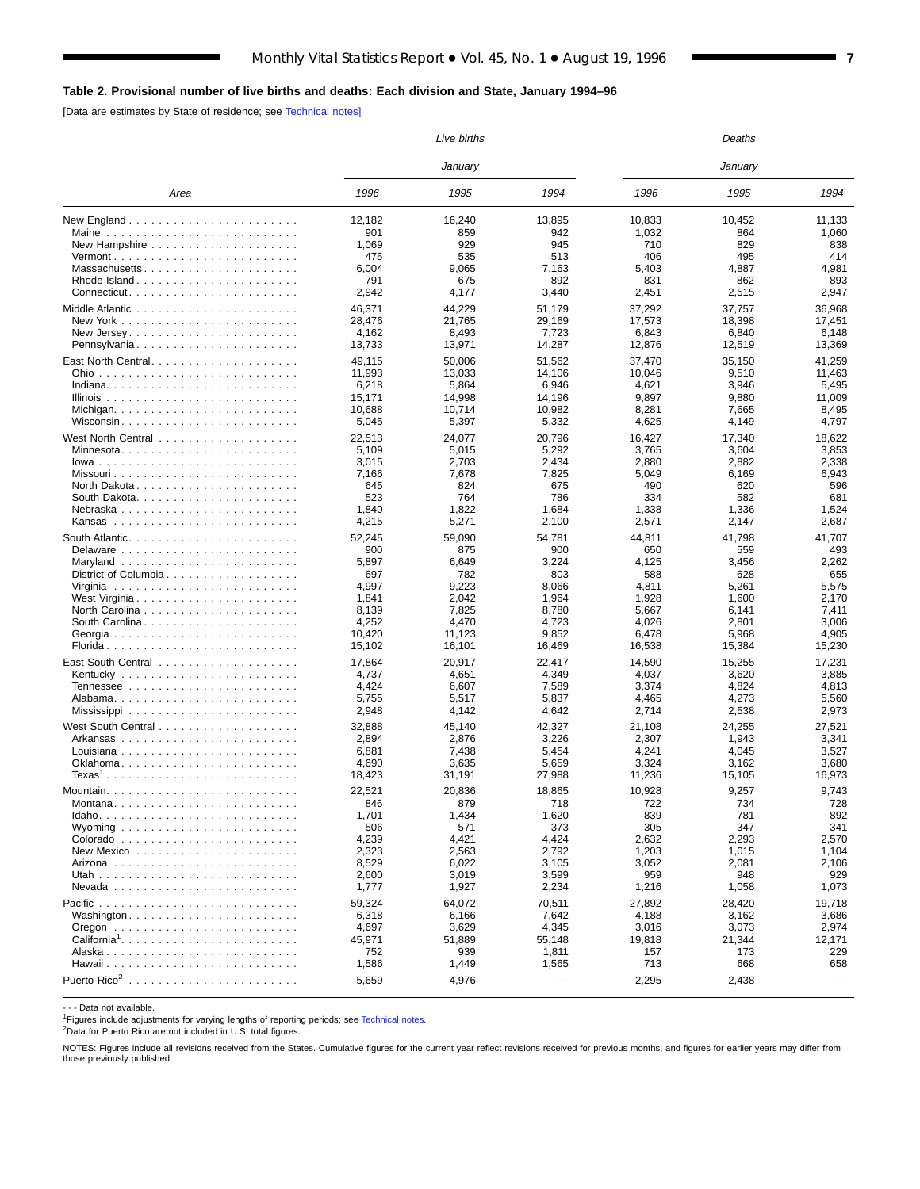## <span id="page-6-0"></span>**Table 2. Provisional number of live births and deaths: Each division and State, January 1994–96**

[Data are estimates by State of residence; see [Technical notes\]](#page-16-0)

|                                                                               |                 | Live births     |                      |                 | Deaths          |                      |
|-------------------------------------------------------------------------------|-----------------|-----------------|----------------------|-----------------|-----------------|----------------------|
|                                                                               |                 | January         |                      |                 | January         |                      |
| Area                                                                          | 1996            | 1995            | 1994                 | 1996            | 1995            | 1994                 |
|                                                                               | 12,182          | 16,240          | 13,895               | 10,833          | 10,452          | 11.133               |
| Maine $\ldots \ldots \ldots \ldots \ldots \ldots \ldots$                      | 901             | 859             | 942                  | 1,032           | 864             | 1,060                |
|                                                                               | 1,069           | 929             | 945                  | 710             | 829             | 838                  |
| $Vermont$                                                                     | 475             | 535             | 513                  | 406             | 495             | 414                  |
| Massachusetts                                                                 | 6,004           | 9.065           | 7,163                | 5,403           | 4,887           | 4.981                |
| Rhode Island                                                                  | 791             | 675             | 892                  | 831             | 862             | 893                  |
| $Connecticut. \ldots \ldots \ldots \ldots \ldots \ldots \ldots$               | 2,942           | 4,177           | 3,440                | 2,451           | 2,515           | 2,947                |
|                                                                               | 46,371          | 44,229          | 51,179               | 37,292          | 37,757          | 36,968               |
|                                                                               | 28.476          | 21,765          | 29,169               | 17,573          | 18,398          | 17,451               |
| New Jersey. $\ldots$ . $\ldots$ . $\ldots$ . $\ldots$ . $\ldots$ . $\ldots$ . | 4,162           | 8,493           | 7,723                | 6,843           | 6,840           | 6,148                |
| Pennsylvania                                                                  | 13,733          | 13,971          | 14,287               | 12,876          | 12,519          | 13,369               |
|                                                                               | 49,115          | 50,006          | 51,562               | 37,470          | 35,150          | 41,259               |
|                                                                               | 11,993          | 13,033          | 14,106               | 10,046          | 9,510           | 11,463               |
|                                                                               | 6,218           | 5,864           | 6,946                | 4,621           | 3,946           | 5,495                |
|                                                                               | 15,171          | 14,998          | 14,196               | 9,897           | 9,880           | 11,009               |
|                                                                               | 10,688          | 10,714          | 10,982               | 8,281           | 7,665           | 8,495                |
| Wisconsin                                                                     | 5,045           | 5,397           | 5,332                | 4,625           | 4,149           | 4,797                |
|                                                                               | 22,513          | 24,077          | 20,796               | 16,427          | 17,340          | 18,622               |
| Minnesota                                                                     | 5,109           | 5,015           | 5,292                | 3,765           | 3,604           | 3,853                |
| $lowa$                                                                        | 3,015           | 2,703           | 2,434                | 2,880           | 2,882           | 2,338                |
|                                                                               | 7,166           | 7,678           | 7,825                | 5,049           | 6,169           | 6,943                |
| North Dakota                                                                  | 645             | 824             | 675                  | 490             | 620             | 596                  |
|                                                                               | 523             | 764             | 786                  | 334             | 582             | 681                  |
| Nebraska                                                                      | 1,840           | 1,822           | 1,684                | 1,338           | 1,336           | 1,524                |
|                                                                               | 4,215           | 5,271           | 2,100                | 2,571           | 2,147           | 2,687                |
|                                                                               | 52,245          | 59,090          | 54,781               | 44,811          | 41,798          | 41,707               |
|                                                                               | 900             | 875             | 900                  | 650             | 559             | 493                  |
|                                                                               | 5,897           | 6,649           | 3,224                | 4,125           | 3,456           | 2,262                |
| District of Columbia                                                          | 697             | 782             | 803                  | 588             | 628             | 655                  |
|                                                                               | 4,997           | 9,223           | 8,066                | 4,811           | 5,261           | 5,575                |
|                                                                               | 1,841           | 2,042           | 1,964                | 1,928           | 1,600           | 2,170                |
|                                                                               | 8,139           | 7,825           | 8,780                | 5,667           | 6,141           | 7,411                |
| South Carolina                                                                | 4,252           | 4,470           | 4,723                | 4,026           | 2,801           | 3,006                |
| Georgia                                                                       | 10,420          | 11,123          | 9,852                | 6,478           | 5,968           | 4,905                |
|                                                                               | 15,102          | 16,101          | 16,469               | 16,538          | 15,384          | 15,230               |
|                                                                               | 17,864          | 20,917          | 22,417               | 14,590          | 15,255          | 17,231               |
|                                                                               | 4,737           | 4,651           | 4,349                | 4,037           | 3,620           | 3,885                |
|                                                                               | 4,424           | 6,607           | 7,589                | 3,374           | 4,824           | 4,813                |
|                                                                               | 5,755           | 5,517           | 5,837                | 4,465           | 4,273           | 5,560                |
|                                                                               | 2,948           | 4,142           | 4,642                | 2,714           | 2,538           | 2,973                |
|                                                                               |                 |                 |                      |                 |                 |                      |
|                                                                               | 32,888<br>2,894 | 45,140<br>2,876 | 42,327<br>3,226      | 21,108<br>2,307 | 24,255<br>1,943 | 27,521<br>3,341      |
|                                                                               | 6,881           | 7,438           | 5,454                | 4,241           | 4,045           | 3,527                |
| Oklahoma                                                                      | 4,690           | 3,635           | 5,659                | 3,324           | 3,162           | 3,680                |
| $Texas1$                                                                      | 18,423          | 31,191          | 27,988               | 11,236          | 15,105          | 16,973               |
|                                                                               |                 |                 |                      |                 |                 |                      |
|                                                                               | 22,521          | 20,836          | 18.865               | 10,928          | 9,257           | 9.743                |
|                                                                               | 846             | 879             | 718                  | 722             | 734             | 728                  |
|                                                                               | 1,701           | 1,434           | 1,620                | 839             | 781             | 892                  |
|                                                                               | 506             | 571             | 373                  | 305             | 347             | 341                  |
|                                                                               | 4,239           | 4,421           | 4,424                | 2,632           | 2,293           | 2,570                |
|                                                                               | 2,323<br>8,529  | 2,563<br>6,022  | 2,792<br>3,105       | 1,203<br>3,052  | 1,015<br>2,081  | 1,104<br>2,106       |
|                                                                               | 2,600           | 3,019           | 3,599                | 959             | 948             | 929                  |
|                                                                               | 1,777           | 1,927           | 2,234                | 1,216           | 1,058           | 1,073                |
|                                                                               |                 |                 |                      |                 |                 |                      |
|                                                                               | 59,324          | 64,072          | 70,511               | 27,892          | 28,420          | 19,718               |
|                                                                               | 6,318           | 6,166           | 7,642                | 4,188           | 3,162           | 3,686                |
|                                                                               | 4,697           | 3,629           | 4,345                | 3,016           | 3,073           | 2,974                |
| California <sup>1</sup>                                                       | 45,971          | 51,889          | 55,148               | 19,818          | 21,344          | 12,171               |
|                                                                               | 752             | 939             | 1,811                | 157<br>713      | 173             | 229                  |
|                                                                               | 1,586           | 1,449           | 1,565                |                 | 668             | 658                  |
| Puerto Rico <sup>2</sup>                                                      | 5,659           | 4,976           | $\sim$ $\sim$ $\sim$ | 2,295           | 2,438           | $\sim$ $\sim$ $\sim$ |
|                                                                               |                 |                 |                      |                 |                 |                      |

- - - Data not available.

<sup>1</sup>Figures include adjustments for varying lengths of reporting periods; see [Technical notes](#page-16-0).

2Data for Puerto Rico are not included in U.S. total figures.

NOTES: Figures include all revisions received from the States. Cumulative figures for the current year reflect revisions received for previous months, and figures for earlier years may differ from those previously published.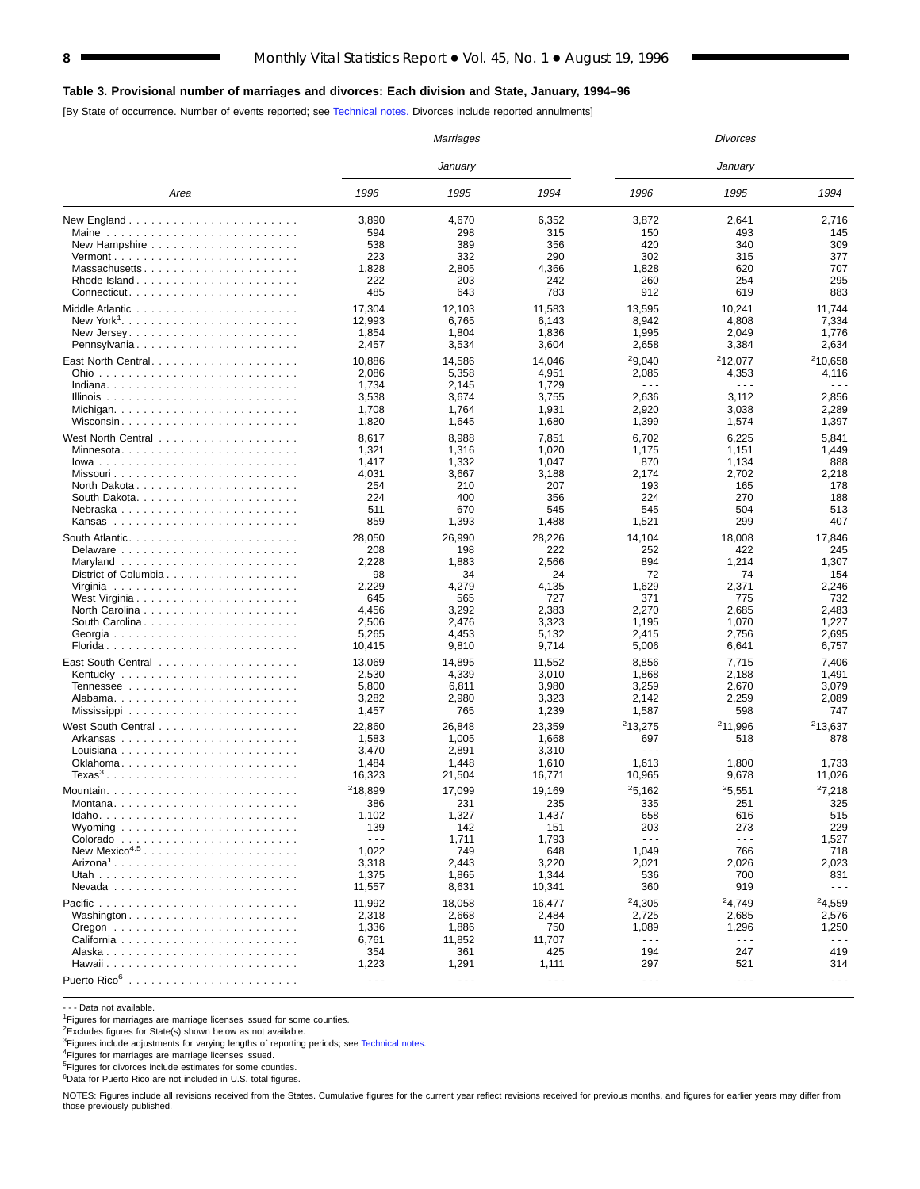## **Table 3. Provisional number of marriages and divorces: Each division and State, January, 1994–96**

[By State of occurrence. Number of events reported; see [Technical notes.](#page-16-0) Divorces include reported annulments]

|                                                                                            |                      | Marriages            |                      |                      | <b>Divorces</b>      |                      |
|--------------------------------------------------------------------------------------------|----------------------|----------------------|----------------------|----------------------|----------------------|----------------------|
|                                                                                            |                      | January              |                      |                      | January              |                      |
| Area                                                                                       | 1996                 | 1995                 | 1994                 | 1996                 | 1995                 | 1994                 |
|                                                                                            | 3,890                | 4,670                | 6,352                | 3,872                | 2,641                | 2,716                |
|                                                                                            | 594                  | 298                  | 315                  | 150                  | 493                  | 145                  |
|                                                                                            | 538                  | 389                  | 356                  | 420                  | 340                  | 309                  |
|                                                                                            | 223                  | 332                  | 290                  | 302                  | 315                  | 377                  |
| Massachusetts                                                                              | 1,828                | 2,805                | 4,366                | 1,828                | 620                  | 707                  |
| Rhode Island                                                                               | 222                  | 203                  | 242                  | 260                  | 254                  | 295                  |
| Connecticut                                                                                | 485                  | 643                  | 783                  | 912                  | 619                  | 883                  |
|                                                                                            | 17,304               | 12,103               | 11,583               | 13,595               | 10.241               | 11,744               |
|                                                                                            | 12,993               | 6,765                | 6,143                | 8,942                | 4,808                | 7,334                |
|                                                                                            | 1,854                | 1,804                | 1,836                | 1,995                | 2,049                | 1,776                |
| Pennsylvania                                                                               | 2,457                | 3,534                | 3,604                | 2,658                | 3,384                | 2,634                |
| East North Central                                                                         | 10,886               | 14,586               | 14,046               | 29,040               | <sup>2</sup> 12,077  | <sup>2</sup> 10,658  |
|                                                                                            | 2,086                | 5,358                | 4,951                | 2,085                | 4,353                | 4,116                |
|                                                                                            | 1,734                | 2,145                | 1,729                | $- - -$              | $\sim$ $\sim$ $\sim$ | $\sim$ $\sim$ $\sim$ |
|                                                                                            | 3,538                | 3,674                | 3,755                | 2,636                | 3,112                | 2,856                |
|                                                                                            | 1,708                | 1,764                | 1,931                | 2,920                | 3,038                | 2,289                |
| Wisconsin                                                                                  | 1,820                | 1,645                | 1,680                | 1,399                | 1,574                | 1,397                |
|                                                                                            | 8,617                | 8,988                | 7,851                | 6,702                | 6,225                | 5,841                |
|                                                                                            | 1,321                | 1,316                | 1,020                | 1,175                | 1,151                | 1,449                |
|                                                                                            | 1,417                | 1,332                | 1,047                | 870                  | 1,134                | 888                  |
|                                                                                            | 4,031                | 3,667                | 3,188                | 2,174                | 2,702                | 2,218                |
| North Dakota                                                                               | 254                  | 210                  | 207                  | 193                  | 165                  | 178                  |
|                                                                                            | 224                  | 400                  | 356                  | 224                  | 270                  | 188                  |
| Nebraska                                                                                   | 511                  | 670                  | 545                  | 545                  | 504                  | 513                  |
|                                                                                            | 859                  | 1,393                | 1,488                | 1,521                | 299                  | 407                  |
| South Atlantic. $\ldots$ , $\ldots$ , $\ldots$ , $\ldots$ , $\ldots$ , $\ldots$ , $\ldots$ | 28,050               | 26,990               | 28,226               | 14,104               | 18,008               | 17,846               |
|                                                                                            | 208                  | 198                  | 222                  | 252                  | 422                  | 245                  |
| Maryland $\ldots \ldots \ldots \ldots \ldots \ldots$                                       | 2,228                | 1,883                | 2,566                | 894                  | 1,214                | 1,307                |
| District of Columbia                                                                       | 98                   | 34                   | 24                   | 72                   | 74                   | 154                  |
|                                                                                            | 2,229                | 4,279                | 4,135                | 1,629                | 2,371                | 2,246                |
|                                                                                            | 645                  | 565                  | 727                  | 371                  | 775                  | 732                  |
|                                                                                            | 4,456                | 3,292                | 2,383                | 2,270                | 2,685                | 2,483                |
| South Carolina                                                                             | 2,506                | 2,476                | 3,323                | 1,195                | 1,070                | 1,227                |
|                                                                                            | 5,265                | 4,453                | 5,132                | 2,415                | 2,756                | 2,695                |
|                                                                                            | 10,415               | 9,810                | 9,714                | 5,006                | 6,641                | 6,757                |
|                                                                                            |                      |                      |                      |                      |                      |                      |
|                                                                                            | 13,069               | 14,895               | 11,552               | 8,856                | 7,715                | 7,406                |
|                                                                                            | 2,530                | 4,339                | 3,010                | 1,868                | 2,188                | 1,491                |
|                                                                                            | 5,800                | 6,811                | 3,980                | 3,259                | 2,670                | 3,079<br>2,089       |
|                                                                                            | 3,282                | 2,980<br>765         | 3,323                | 2,142                | 2,259<br>598         | 747                  |
|                                                                                            | 1,457                |                      | 1,239                | 1,587                |                      |                      |
|                                                                                            | 22,860               | 26,848               | 23,359               | 213,275              | <sup>2</sup> 11,996  | 213,637              |
|                                                                                            | 1,583                | 1,005                | 1,668                | 697                  | 518                  | 878                  |
|                                                                                            | 3,470                | 2,891                | 3,310                | $ -$                 | $\sim$ $\sim$ $\sim$ | $\sim$ $\sim$ $\sim$ |
|                                                                                            | 1,484                | 1,448                | 1,610                | 1,613                | 1,800                | 1,733                |
|                                                                                            | 16,323               | 21,504               | 16,771               | 10,965               | 9,678                | 11,026               |
| Mountain.                                                                                  | <sup>2</sup> 18.899  | 17,099               | 19,169               | 25,162               | 25,551               | 27,218               |
|                                                                                            | 386                  | 231                  | 235                  | 335                  | 251                  | 325                  |
|                                                                                            | 1,102                | 1,327                | 1,437                | 658                  | 616                  | 515                  |
| Wyoming $\ldots \ldots \ldots \ldots \ldots \ldots \ldots$                                 | 139                  | 142                  | 151                  | 203                  | 273                  | 229                  |
|                                                                                            | $\sim$ $\sim$ $\sim$ | 1,711                | 1,793                | $\sim$ $\sim$ $\sim$ | $\sim$ $\sim$ $\sim$ | 1,527                |
| New Mexico <sup>4,5</sup>                                                                  | 1,022                | 749                  | 648                  | 1,049                | 766                  | 718                  |
|                                                                                            | 3,318                | 2,443                | 3,220                | 2,021                | 2,026                | 2,023                |
|                                                                                            | 1,375                | 1,865                | 1,344                | 536                  | 700                  | 831                  |
|                                                                                            | 11,557               | 8,631                | 10,341               | 360                  | 919                  | $\sim$ $\sim$ $\sim$ |
|                                                                                            | 11,992               | 18,058               | 16,477               | 24,305               | <sup>2</sup> 4,749   | <sup>2</sup> 4,559   |
| Washington                                                                                 | 2,318                | 2,668                | 2,484                | 2,725                | 2,685                | 2,576                |
|                                                                                            | 1,336                | 1,886                | 750                  | 1,089                | 1,296                | 1,250                |
|                                                                                            | 6,761                | 11,852               | 11,707               | $\sim$ $\sim$ $\sim$ | $\sim$ $\sim$ $\sim$ | $\sim$ $\sim$ $\sim$ |
|                                                                                            | 354                  | 361                  | 425                  | 194                  | 247                  | 419                  |
|                                                                                            | 1,223                | 1,291                | 1,111                | 297                  | 521                  | 314                  |
|                                                                                            | $\sim$ $\sim$ $\sim$ | $\sim$ $\sim$ $\sim$ | $\sim$ $\sim$ $\sim$ | $- - -$              | $\sim$ $\sim$ $\sim$ | $\sim$ $\sim$ $\sim$ |
|                                                                                            |                      |                      |                      |                      |                      |                      |

- - - Data not available.

<sup>1</sup>Figures for marriages are marriage licenses issued for some counties.

<sup>2</sup>Excludes figures for State(s) shown below as not available.

<sup>3</sup>Figures include adjustments for varying lengths of reporting periods; see [Technical notes.](#page-16-0)<br><sup>4</sup>Figures for marriages are marriage licenses issued.

5Figures for divorces include estimates for some counties.

<sup>6</sup>Data for Puerto Rico are not included in U.S. total figures.

NOTES: Figures include all revisions received from the States. Cumulative figures for the current year reflect revisions received for previous months, and figures for earlier years may differ from those previously published.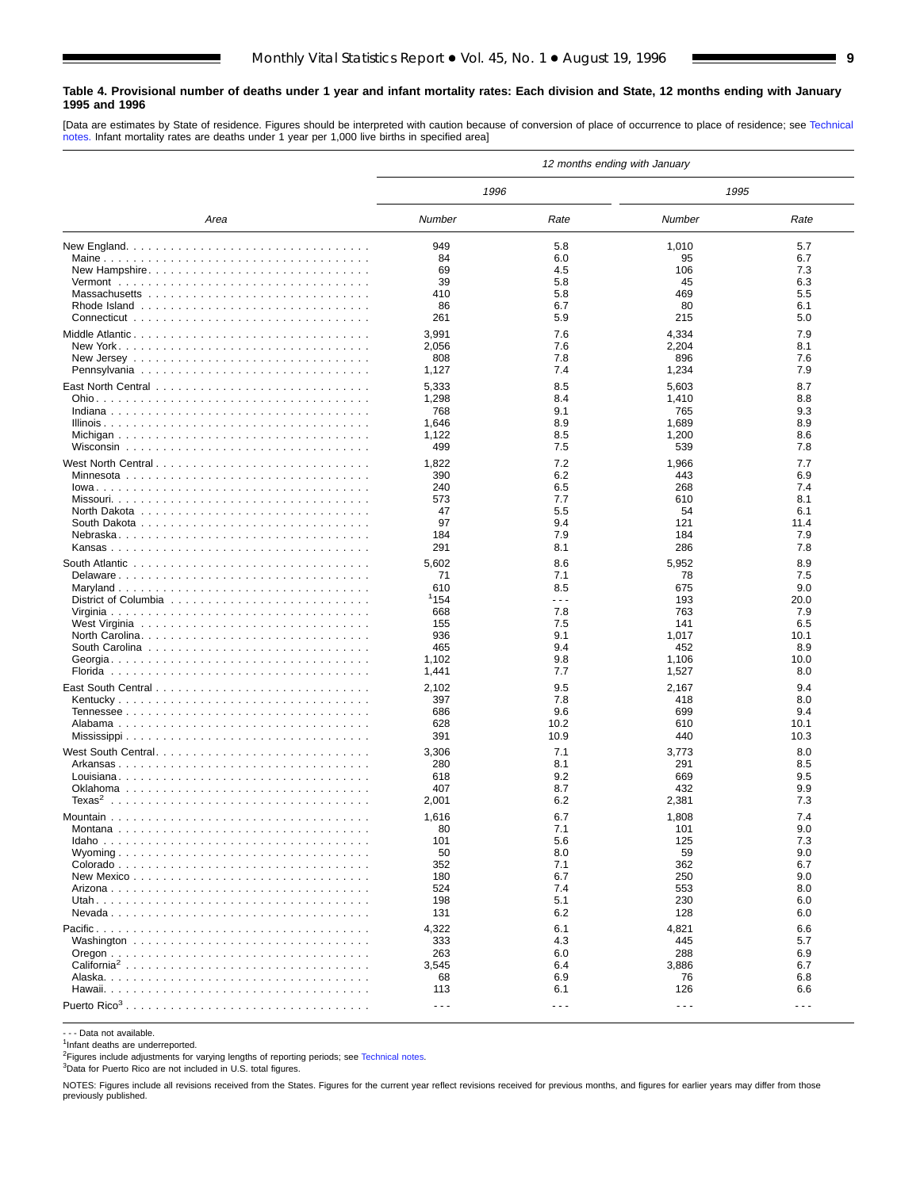#### <span id="page-8-0"></span>**Table 4. Provisional number of deaths under 1 year and infant mortality rates: Each division and State, 12 months ending with January 1995 and 1996**

[Data are estimates by State of residence. Figures should be interpreted with caution because of conversion of place of occurrence to place of residence; see [Technical](#page-16-0) [notes.](#page-16-0) Infant mortality rates are deaths under 1 year per 1,000 live births in specified area]

|                         |                      |       | 12 months ending with January |         |
|-------------------------|----------------------|-------|-------------------------------|---------|
|                         | 1996                 |       | 1995                          |         |
| Area                    | Number               | Rate  | Number                        | Rate    |
|                         | 949                  | 5.8   | 1,010                         | 5.7     |
|                         | 84                   | 6.0   | 95                            | 6.7     |
| New Hampshire           | 69                   | 4.5   | 106                           | 7.3     |
|                         | 39                   | 5.8   | 45                            | 6.3     |
|                         | 410                  | 5.8   | 469                           | 5.5     |
|                         | 86                   | 6.7   | 80                            | 6.1     |
|                         | 261                  | 5.9   | 215                           | 5.0     |
|                         | 3,991                | 7.6   | 4,334                         | 7.9     |
|                         | 2,056                | 7.6   | 2,204                         | 8.1     |
|                         | 808                  | 7.8   | 896                           | 7.6     |
|                         | 1,127                | 7.4   | 1,234                         | 7.9     |
|                         | 5,333                | 8.5   | 5,603                         | 8.7     |
|                         | 1,298                | 8.4   | 1,410                         | 8.8     |
|                         | 768                  | 9.1   | 765                           | 9.3     |
|                         | 1,646                | 8.9   | 1,689                         | 8.9     |
|                         | 1,122                | 8.5   | 1,200                         | 8.6     |
|                         | 499                  | 7.5   | 539                           | 7.8     |
|                         |                      |       |                               |         |
|                         | 1,822                | 7.2   | 1,966                         | 7.7     |
|                         | 390                  | 6.2   | 443                           | 6.9     |
|                         | 240                  | 6.5   | 268                           | 7.4     |
|                         | 573                  | 7.7   | 610                           | 8.1     |
|                         | 47                   | 5.5   | 54                            | 6.1     |
|                         | 97                   | 9.4   | 121                           | 11.4    |
|                         | 184                  | 7.9   | 184                           | 7.9     |
|                         | 291                  | 8.1   | 286                           | 7.8     |
|                         | 5,602                | 8.6   | 5,952                         | 8.9     |
|                         | 71                   | 7.1   | 78                            | 7.5     |
|                         | 610                  | 8.5   | 675                           | 9.0     |
|                         | 1154                 | .     | 193                           | 20.0    |
|                         | 668                  | 7.8   | 763                           | 7.9     |
|                         | 155                  | 7.5   | 141                           | 6.5     |
|                         | 936                  | 9.1   | 1,017                         | 10.1    |
|                         | 465                  | 9.4   | 452                           | 8.9     |
|                         | 1,102                | 9.8   | 1,106                         | 10.0    |
|                         | 1,441                | 7.7   | 1,527                         | 8.0     |
|                         | 2,102                | 9.5   | 2,167                         | 9.4     |
| Kentucky                | 397                  | 7.8   | 418                           | 8.0     |
|                         | 686                  | 9.6   | 699                           | 9.4     |
|                         | 628                  | 10.2  | 610                           | 10.1    |
|                         | 391                  | 10.9  | 440                           | 10.3    |
| West South Central      | 3,306                | 7.1   | 3,773                         | 8.0     |
|                         | 280                  | 8.1   | 291                           | 8.5     |
|                         | 618                  | 9.2   | 669                           | 9.5     |
|                         | 407                  | 8.7   | 432                           | 9.9     |
|                         | 2,001                | 6.2   | 2,381                         | 7.3     |
|                         | 1,616                | 6.7   | 1,808                         | 7.4     |
|                         | 80                   | 7.1   | 101                           | 9.0     |
|                         | 101                  | 5.6   | 125                           | 7.3     |
|                         | 50                   | 8.0   | 59                            | 9.0     |
|                         | 352                  | 7.1   | 362                           | 6.7     |
|                         | 180                  | 6.7   | 250                           | 9.0     |
|                         | 524                  | 7.4   | 553                           | 8.0     |
|                         | 198                  | 5.1   | 230                           | 6.0     |
|                         | 131                  | 6.2   | 128                           | 6.0     |
|                         | 4,322                | 6.1   | 4,821                         | 6.6     |
|                         | 333                  | 4.3   | 445                           | 5.7     |
|                         | 263                  | 6.0   | 288                           | 6.9     |
| California <sup>2</sup> | 3,545                | 6.4   | 3,886                         | 6.7     |
|                         | 68                   | 6.9   | 76                            | 6.8     |
|                         | 113                  | 6.1   | 126                           | 6.6     |
|                         |                      |       |                               |         |
|                         | $\sim$ $\sim$ $\sim$ | - - - | $\sim$ $\sim$ $\sim$          | $- - -$ |

- - - Data not available.

<sup>1</sup>Infant deaths are underreported.

<sup>2</sup>Figures include adjustments for varying lengths of reporting periods; see [Technical notes](#page-16-0).

3Data for Puerto Rico are not included in U.S. total figures.

NOTES: Figures include all revisions received from the States. Figures for the current year reflect revisions received for previous months, and figures for earlier years may differ from those previously published.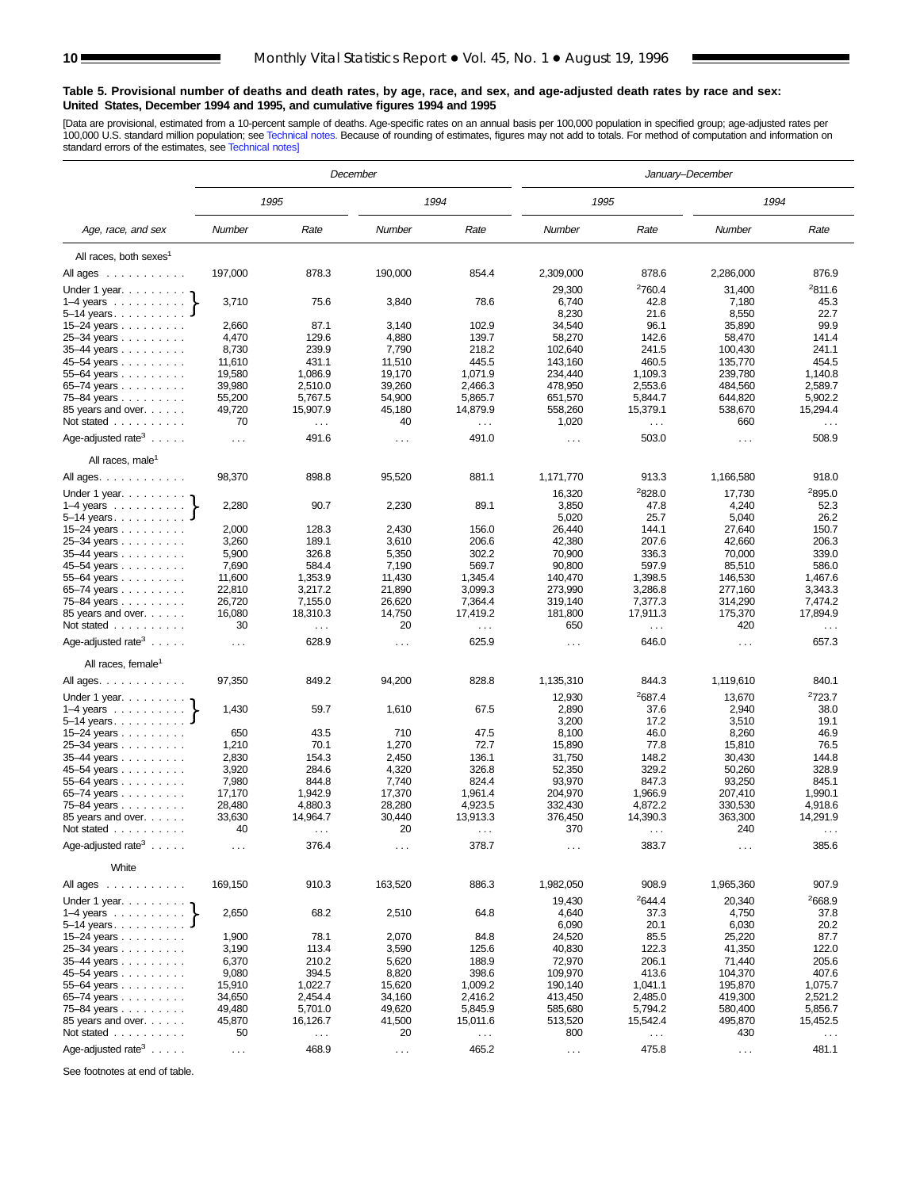#### <span id="page-9-0"></span>**Table 5. Provisional number of deaths and death rates, by age, race, and sex, and age-adjusted death rates by race and sex: United States, December 1994 and 1995, and cumulative figures 1994 and 1995**

[Data are provisional, estimated from a 10-percent sample of deaths. Age-specific rates on an annual basis per 100,000 population in specified group; age-adjusted rates per<br>100,000 U.S. standard million population; see Tec

|                                                         |                      |                           | December             |                                  | January-December    |                      |                      |                               |  |
|---------------------------------------------------------|----------------------|---------------------------|----------------------|----------------------------------|---------------------|----------------------|----------------------|-------------------------------|--|
|                                                         |                      | 1995                      |                      | 1994                             | 1995                |                      | 1994                 |                               |  |
| Age, race, and sex                                      | Number               | Rate                      | Number               | Rate                             | Number              | Rate                 | Number               | Rate                          |  |
| All races, both sexes <sup>1</sup>                      |                      |                           |                      |                                  |                     |                      |                      |                               |  |
| All ages                                                | 197,000              | 878.3                     | 190,000              | 854.4                            | 2,309,000           | 878.6                | 2,286,000            | 876.9                         |  |
| Under 1 year. $\ldots$                                  |                      |                           |                      |                                  | 29,300              | <sup>2</sup> 760.4   | 31,400               | 2811.6                        |  |
| $1-4$ years $\ldots$ $\ldots$ $\ldots$ .                | 3,710                | 75.6                      | 3,840                | 78.6                             | 6,740               | 42.8                 | 7,180                | 45.3                          |  |
| $5 - 14$ years.                                         |                      |                           |                      |                                  | 8,230               | 21.6                 | 8,550                | 22.7                          |  |
| 15-24 years                                             | 2,660                | 87.1                      | 3,140                | 102.9                            | 34,540              | 96.1                 | 35,890               | 99.9                          |  |
| 25-34 years                                             | 4,470                | 129.6                     | 4,880                | 139.7                            | 58,270              | 142.6                | 58,470               | 141.4                         |  |
| 35-44 years                                             | 8,730                | 239.9                     | 7,790                | 218.2                            | 102,640             | 241.5                | 100,430              | 241.1                         |  |
| 45-54 years                                             | 11,610               | 431.1                     | 11,510               | 445.5                            | 143,160             | 460.5                | 135,770              | 454.5                         |  |
| 55-64 years                                             | 19,580               | 1,086.9                   | 19,170               | 1,071.9                          | 234,440             | 1,109.3              | 239,780              | 1,140.8                       |  |
| 65–74 years $\ldots$                                    | 39,980               | 2,510.0                   | 39,260               | 2,466.3                          | 478,950             | 2,553.6              | 484,560              | 2,589.7                       |  |
| 75-84 years                                             | 55,200               | 5,767.5                   | 54,900               | 5,865.7                          | 651,570             | 5,844.7              | 644,820              | 5,902.2                       |  |
| 85 years and over.<br>Not stated                        | 49,720<br>70         | 15,907.9                  | 45,180<br>40         | 14,879.9                         | 558,260<br>1,020    | 15,379.1             | 538,670<br>660       | 15,294.4                      |  |
|                                                         |                      | $\sim$ $\sim$             |                      | $\epsilon \rightarrow \infty$    |                     | $\sim$ $\sim$        |                      | $\sim$ $\sim$                 |  |
| Age-adjusted rate <sup>3</sup> $\ldots$ .               | $\sim$ $\sim$ $\sim$ | 491.6                     | $\cdots$             | 491.0                            | $\sim$ $\sim$       | 503.0                | $\sim$ $\sim$        | 508.9                         |  |
| All races, male <sup>1</sup>                            |                      |                           |                      |                                  |                     |                      |                      |                               |  |
| All ages.                                               | 98,370               | 898.8                     | 95,520               | 881.1                            | 1,171,770<br>16,320 | 913.3<br>2828.0      | 1,166,580<br>17,730  | 918.0<br>2895.0               |  |
| Under 1 year.<br>$1-4$ years $\ldots$ $\ldots$ $\ldots$ | 2,280                | 90.7                      | 2,230                | 89.1                             | 3,850               | 47.8                 | 4,240                | 52.3                          |  |
| $5 - 14$ years.                                         |                      |                           |                      |                                  | 5,020               | 25.7                 | 5,040                | 26.2                          |  |
| 15-24 years                                             | 2,000                | 128.3                     | 2,430                | 156.0                            | 26,440              | 144.1                | 27,640               | 150.7                         |  |
| 25-34 years                                             | 3,260                | 189.1                     | 3,610                | 206.6                            | 42,380              | 207.6                | 42,660               | 206.3                         |  |
| 35-44 years                                             | 5,900                | 326.8                     | 5,350                | 302.2                            | 70,900              | 336.3                | 70,000               | 339.0                         |  |
| 45-54 years                                             | 7,690                | 584.4                     | 7,190                | 569.7                            | 90,800              | 597.9                | 85,510               | 586.0                         |  |
| 55-64 years                                             | 11,600               | 1,353.9                   | 11,430               | 1,345.4                          | 140,470             | 1,398.5              | 146,530              | 1.467.6                       |  |
| 65-74 years                                             | 22,810               | 3,217.2                   | 21,890               | 3,099.3                          | 273,990             | 3,286.8              | 277,160              | 3,343.3                       |  |
| 75-84 years                                             | 26,720               | 7,155.0                   | 26,620               | 7,364.4                          | 319,140             | 7,377.3              | 314,290              | 7,474.2                       |  |
| 85 years and over.<br>Not stated                        | 16,080<br>30         | 18,310.3<br>$\sim$ $\sim$ | 14,750<br>20         | 17,419.2<br>$\sim$ $\sim$ $\sim$ | 181,800<br>650      | 17,911.3<br>$\ldots$ | 175,370<br>420       | 17,894.9                      |  |
| Age-adjusted rate <sup>3</sup> $\ldots$ .               | $\sim 10$            | 628.9                     | $\cdots$             | 625.9                            | $\cdots$            | 646.0                | $\cdots$             | $\sim$ $\sim$ $\sim$<br>657.3 |  |
|                                                         |                      |                           |                      |                                  |                     |                      |                      |                               |  |
| All races, female <sup>1</sup>                          | 97,350               | 849.2                     | 94,200               | 828.8                            |                     |                      |                      | 840.1                         |  |
| All ages.                                               |                      |                           |                      |                                  | 1,135,310           | 844.3                | 1,119,610            |                               |  |
| Under 1 year.                                           |                      |                           |                      |                                  | 12,930              | <sup>2</sup> 687.4   | 13,670               | <sup>2</sup> 723.7            |  |
| $1-4$ years $\ldots$ $\ldots$ $\ldots$                  | 1,430                | 59.7                      | 1,610                | 67.5                             | 2,890               | 37.6                 | 2,940                | 38.0                          |  |
| $5 - 14$ years.                                         | 650                  | 43.5                      | 710                  | 47.5                             | 3,200<br>8,100      | 17.2<br>46.0         | 3,510<br>8,260       | 19.1<br>46.9                  |  |
| 15-24 years<br>25-34 years                              | 1,210                | 70.1                      | 1,270                | 72.7                             | 15,890              | 77.8                 | 15,810               | 76.5                          |  |
| 35-44 years                                             | 2,830                | 154.3                     | 2,450                | 136.1                            | 31,750              | 148.2                | 30,430               | 144.8                         |  |
| 45-54 years                                             | 3,920                | 284.6                     | 4,320                | 326.8                            | 52,350              | 329.2                | 50,260               | 328.9                         |  |
| 55-64 years                                             | 7,980                | 844.8                     | 7,740                | 824.4                            | 93,970              | 847.3                | 93,250               | 845.1                         |  |
| 65–74 years $\ldots$                                    | 17,170               | 1,942.9                   | 17,370               | 1.961.4                          | 204,970             | 1,966.9              | 207,410              | 1,990.1                       |  |
| 75–84 years                                             | 28,480               | 4,880.3                   | 28,280               | 4,923.5                          | 332,430             | 4,872.2              | 330,530              | 4,918.6                       |  |
| 85 years and over.                                      | 33,630               | 14,964.7                  | 30,440               | 13,913.3                         | 376,450             | 14,390.3             | 363,300              | 14,291.9                      |  |
| Not stated                                              | 40                   | $\sim$ $\sim$ $\sim$      | 20                   | $\sim$ $\sim$ $\sim$             | 370                 | $\cdots$             | 240                  | $\sim$ $\sim$ $\sim$          |  |
| Age-adjusted rate <sup>3</sup> $\ldots$ .               | $\cdots$             | 376.4                     | $\sim$               | 378.7                            | $\sim$              | 383.7                | $\sim$ $\sim$        | 385.6                         |  |
| White                                                   |                      |                           |                      |                                  |                     |                      |                      |                               |  |
| All ages $\dots \dots \dots$                            | 169,150              | 910.3                     | 163,520              | 886.3                            | 1,982,050           | 908.9                | 1,965,360            | 907.9                         |  |
|                                                         |                      |                           |                      |                                  | 19,430              | <sup>2</sup> 644.4   | 20,340               | <sup>2</sup> 668.9            |  |
| $5 - 14$ years                                          | 2,650                | 68.2                      | 2,510                | 64.8                             | 4,640<br>6,090      | 37.3<br>20.1         | 4,750<br>6,030       | 37.8<br>20.2                  |  |
| 15–24 years $\ldots$                                    | 1,900                | 78.1                      | 2,070                | 84.8                             | 24,520              | 85.5                 | 25,220               | 87.7                          |  |
| 25-34 years                                             | 3,190                | 113.4                     | 3,590                | 125.6                            | 40,830              | 122.3                | 41,350               | 122.0                         |  |
| $35 - 44$ years                                         | 6,370                | 210.2                     | 5,620                | 188.9                            | 72,970              | 206.1                | 71,440               | 205.6                         |  |
| 45-54 years                                             | 9,080                | 394.5                     | 8,820                | 398.6                            | 109,970             | 413.6                | 104,370              | 407.6                         |  |
| 55–64 years                                             | 15,910               | 1,022.7                   | 15,620               | 1,009.2                          | 190,140             | 1,041.1              | 195,870              | 1,075.7                       |  |
| 65-74 years                                             | 34,650               | 2,454.4                   | 34,160               | 2,416.2                          | 413,450             | 2,485.0              | 419,300              | 2,521.2                       |  |
| 75–84 years $\ldots$                                    | 49,480               | 5,701.0                   | 49,620               | 5,845.9                          | 585,680             | 5,794.2              | 580,400              | 5,856.7                       |  |
| 85 years and over.<br>Not stated                        | 45,870<br>50         | 16,126.7                  | 41,500<br>20         | 15,011.6                         | 513,520<br>800      | 15,542.4             | 495,870<br>430       | 15,452.5                      |  |
|                                                         |                      | $\sim$ $\sim$             |                      | $\sim$ $\sim$                    |                     | $\sim$ $\sim$        |                      | $\sim$ $\sim$                 |  |
| Age-adjusted rate <sup>3</sup> $\ldots$ .               | $\sim$               | 468.9                     | $\sim$ $\sim$ $\sim$ | 465.2                            | $\sim$ $\sim$       | 475.8                | $\sim$ $\sim$ $\sim$ | 481.1                         |  |

See footnotes at end of table.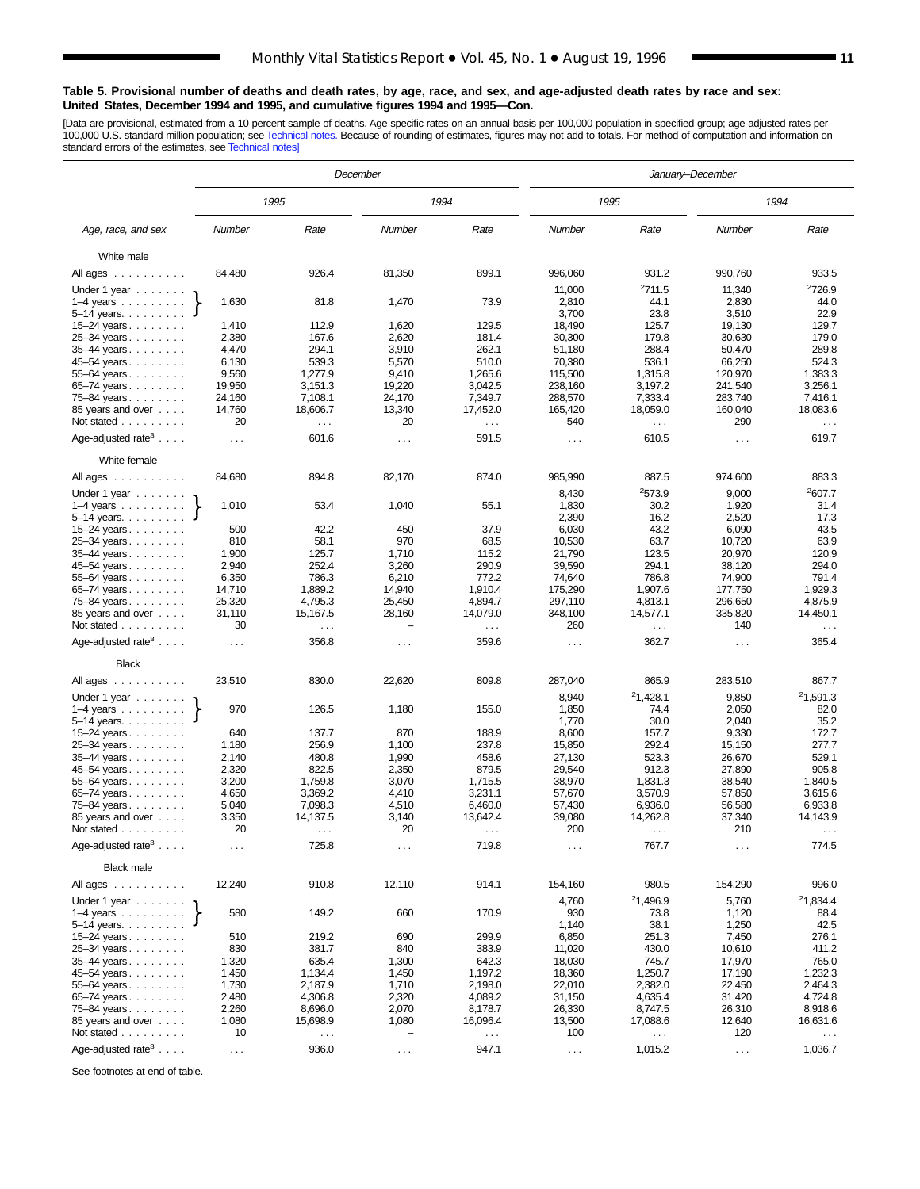#### **Table 5. Provisional number of deaths and death rates, by age, race, and sex, and age-adjusted death rates by race and sex: United States, December 1994 and 1995, and cumulative figures 1994 and 1995—Con.**

[Data are provisional, estimated from a 10-percent sample of deaths. Age-specific rates on an annual basis per 100,000 population in specified group; age-adjusted rates per<br>100,000 U.S. standard million population; see Tec

|                                                      |                      |                                  | December                           |                           |                    |                              | January–December   |                           |
|------------------------------------------------------|----------------------|----------------------------------|------------------------------------|---------------------------|--------------------|------------------------------|--------------------|---------------------------|
|                                                      |                      | 1995                             |                                    | 1994                      |                    | 1995                         |                    | 1994                      |
| Age, race, and sex                                   | Number               | Rate                             | Number                             | Rate                      | Number             | Rate                         | Number             | Rate                      |
| White male                                           |                      |                                  |                                    |                           |                    |                              |                    |                           |
| All ages                                             | 84,480               | 926.4                            | 81,350                             | 899.1                     | 996,060            | 931.2                        | 990,760            | 933.5                     |
| Under 1 year                                         |                      |                                  |                                    |                           | 11,000             | 2711.5                       | 11,340             | <sup>2</sup> 726.9        |
| $1-4$ years $\ldots$                                 | 1,630                | 81.8                             | 1,470                              | 73.9                      | 2,810              | 44.1                         | 2,830              | 44.0                      |
| 5–14 years<br>15-24 years                            | 1,410                | 112.9                            | 1,620                              | 129.5                     | 3,700<br>18,490    | 23.8<br>125.7                | 3,510<br>19,130    | 22.9<br>129.7             |
| 25-34 years                                          | 2,380                | 167.6                            | 2,620                              | 181.4                     | 30,300             | 179.8                        | 30,630             | 179.0                     |
| 35–44 years                                          | 4,470                | 294.1                            | 3,910                              | 262.1                     | 51,180             | 288.4                        | 50,470             | 289.8                     |
| 45–54 years                                          | 6,130                | 539.3                            | 5,570                              | 510.0                     | 70,380             | 536.1                        | 66,250             | 524.3                     |
| 55-64 years                                          | 9,560                | 1,277.9                          | 9,410                              | 1.265.6                   | 115,500            | 1,315.8                      | 120,970            | 1,383.3                   |
| 65–74 years                                          | 19,950               | 3,151.3                          | 19,220                             | 3,042.5                   | 238,160            | 3,197.2                      | 241,540            | 3,256.1                   |
| 75–84 years                                          | 24,160<br>14,760     | 7,108.1<br>18,606.7              | 24,170<br>13,340                   | 7,349.7<br>17,452.0       | 288,570<br>165,420 | 7,333.4<br>18,059.0          | 283,740<br>160,040 | 7,416.1<br>18,083.6       |
| 85 years and over<br>Not stated                      | 20                   | $\sim$ $\sim$ $\sim$             | 20                                 | $\sim$ $\sim$             | 540                | $\sim$ $\sim$                | 290                | $\sim$ $\sim$             |
| Age-adjusted rate <sup>3</sup>                       |                      | 601.6                            |                                    | 591.5                     |                    | 610.5                        |                    | 619.7                     |
| White female                                         | $\sim$ $\sim$ $\sim$ |                                  | $\sim$ $\sim$                      |                           | $\cdots$           |                              | $\cdots$           |                           |
|                                                      |                      | 894.8                            |                                    | 874.0                     |                    | 887.5                        |                    | 883.3                     |
| All ages<br>Under 1 year $\ldots \ldots$             | 84,680               |                                  | 82,170                             |                           | 985,990<br>8,430   | 2573.9                       | 974,600<br>9,000   | 2607.7                    |
| $1-4$ years                                          | 1,010                | 53.4                             | 1,040                              | 55.1                      | 1,830              | 30.2                         | 1,920              | 31.4                      |
| $5 - 14$ years.                                      |                      |                                  |                                    |                           | 2,390              | 16.2                         | 2,520              | 17.3                      |
| 15–24 years                                          | 500                  | 42.2                             | 450                                | 37.9                      | 6,030              | 43.2                         | 6,090              | 43.5                      |
| 25-34 years<br>35-44 years                           | 810<br>1,900         | 58.1<br>125.7                    | 970<br>1,710                       | 68.5<br>115.2             | 10,530<br>21,790   | 63.7<br>123.5                | 10,720<br>20,970   | 63.9<br>120.9             |
| 45–54 years                                          | 2,940                | 252.4                            | 3,260                              | 290.9                     | 39,590             | 294.1                        | 38,120             | 294.0                     |
| 55-64 years                                          | 6,350                | 786.3                            | 6,210                              | 772.2                     | 74,640             | 786.8                        | 74,900             | 791.4                     |
| 65-74 years                                          | 14,710               | 1,889.2                          | 14,940                             | 1,910.4                   | 175,290            | 1.907.6                      | 177,750            | 1.929.3                   |
| 75–84 years                                          | 25,320               | 4,795.3                          | 25,450                             | 4,894.7                   | 297,110            | 4,813.1                      | 296,650            | 4,875.9                   |
| 85 years and over<br>Not stated                      | 31,110<br>30         | 15,167.5<br>$\sim$ $\sim$ $\sim$ | 28,160<br>$\overline{\phantom{0}}$ | 14,079.0<br>$\sim$ $\sim$ | 348,100<br>260     | 14,577.1<br>$\sim$ .         | 335,820<br>140     | 14,450.1<br>$\sim$ $\sim$ |
| Age-adjusted rate <sup>3</sup> $\ldots$ .            | $\sim$ $\sim$ $\sim$ | 356.8                            | $\cdots$                           | 359.6                     | $\cdots$           | 362.7                        | $\cdots$           | 365.4                     |
| <b>Black</b>                                         |                      |                                  |                                    |                           |                    |                              |                    |                           |
| All ages                                             | 23,510               | 830.0                            | 22,620                             | 809.8                     | 287,040            | 865.9                        | 283,510            | 867.7                     |
| Under 1 year                                         |                      |                                  |                                    |                           | 8,940              | <sup>2</sup> 1,428.1         | 9,850              | 21,591.3                  |
| $1-4$ years $\ldots$<br>5–14 years                   | 970                  | 126.5                            | 1,180                              | 155.0                     | 1,850<br>1,770     | 74.4<br>30.0                 | 2,050<br>2,040     | 82.0<br>35.2              |
| 15-24 years                                          | 640                  | 137.7                            | 870                                | 188.9                     | 8,600              | 157.7                        | 9,330              | 172.7                     |
| 25-34 years                                          | 1,180                | 256.9                            | 1,100                              | 237.8                     | 15,850             | 292.4                        | 15,150             | 277.7                     |
| 35-44 years                                          | 2,140                | 480.8                            | 1,990                              | 458.6                     | 27,130             | 523.3                        | 26,670             | 529.1                     |
| 45-54 years                                          | 2,320                | 822.5                            | 2,350                              | 879.5                     | 29,540             | 912.3                        | 27,890             | 905.8                     |
| 55-64 years                                          | 3,200                | 1,759.8                          | 3,070                              | 1,715.5                   | 38,970             | 1,831.3                      | 38,540             | 1,840.5                   |
| 65-74 years<br>75–84 years                           | 4,650<br>5,040       | 3,369.2<br>7,098.3               | 4,410<br>4,510                     | 3,231.1<br>6,460.0        | 57,670<br>57,430   | 3,570.9<br>6,936.0           | 57,850<br>56,580   | 3,615.6<br>6,933.8        |
| 85 years and over                                    | 3,350                | 14,137.5                         | 3,140                              | 13,642.4                  | 39,080             | 14,262.8                     | 37,340             | 14,143.9                  |
| Not stated                                           | 20                   | $\sim$ $\sim$ $\sim$             | 20                                 | $\sim$ $\sim$ $\sim$      | 200                | $\sim$ .                     | 210                | $\sim$ $\sim$ $\sim$      |
| Age-adjusted rate <sup>3</sup> $\ldots$ .            | $\sim$ $\sim$ $\sim$ | 725.8                            | $\sim$ $\sim$ $\sim$               | 719.8                     | $\sim$ .           | 767.7                        | $\sim$             | 774.5                     |
| <b>Black male</b>                                    |                      |                                  |                                    |                           |                    |                              |                    |                           |
| All ages                                             | 12,240               | 910.8                            | 12,110                             | 914.1                     | 154,160            | 980.5                        | 154,290            | 996.0                     |
| Under 1 year $\ldots \ldots$<br>$1-4$ years $\ldots$ | 580                  | 149.2                            | 660                                | 170.9                     | 4,760<br>930       | <sup>2</sup> 1,496.9<br>73.8 | 5,760<br>1,120     | 21,834.4<br>88.4          |
| 5–14 years. $\ldots$                                 |                      |                                  |                                    |                           | 1,140              | 38.1                         | 1,250              | 42.5                      |
| $15 - 24$ years                                      | 510                  | 219.2                            | 690                                | 299.9                     | 6,850              | 251.3                        | 7,450              | 276.1                     |
| 25-34 years                                          | 830                  | 381.7                            | 840                                | 383.9                     | 11,020             | 430.0                        | 10,610             | 411.2                     |
| 35-44 years                                          | 1,320                | 635.4                            | 1,300                              | 642.3                     | 18,030             | 745.7                        | 17,970             | 765.0                     |
| 45-54 years                                          | 1,450                | 1,134.4                          | 1,450                              | 1,197.2                   | 18,360             | 1,250.7                      | 17,190             | 1,232.3                   |
| 55-64 years<br>65-74 years                           | 1,730<br>2,480       | 2,187.9<br>4,306.8               | 1,710<br>2,320                     | 2,198.0<br>4,089.2        | 22,010<br>31,150   | 2,382.0<br>4,635.4           | 22,450<br>31,420   | 2,464.3<br>4,724.8        |
| 75-84 years                                          | 2,260                | 8,696.0                          | 2,070                              | 8,178.7                   | 26,330             | 8,747.5                      | 26,310             | 8,918.6                   |
| 85 years and over                                    | 1,080                | 15,698.9                         | 1,080                              | 16,096.4                  | 13,500             | 17,088.6                     | 12,640             | 16,631.6                  |
| Not stated                                           | 10                   | $\sim$ .                         | -                                  | $\sim$ $\sim$             | 100                | $\sim$ $\sim$                | 120                | $\sim$ $\sim$             |
| Age-adjusted rate <sup>3</sup> $\ldots$ .            | $\sim$ $\sim$        | 936.0                            | $\sim$ $\sim$                      | 947.1                     | $\sim$ $\sim$      | 1,015.2                      | $\sim$ $\sim$      | 1,036.7                   |

See footnotes at end of table.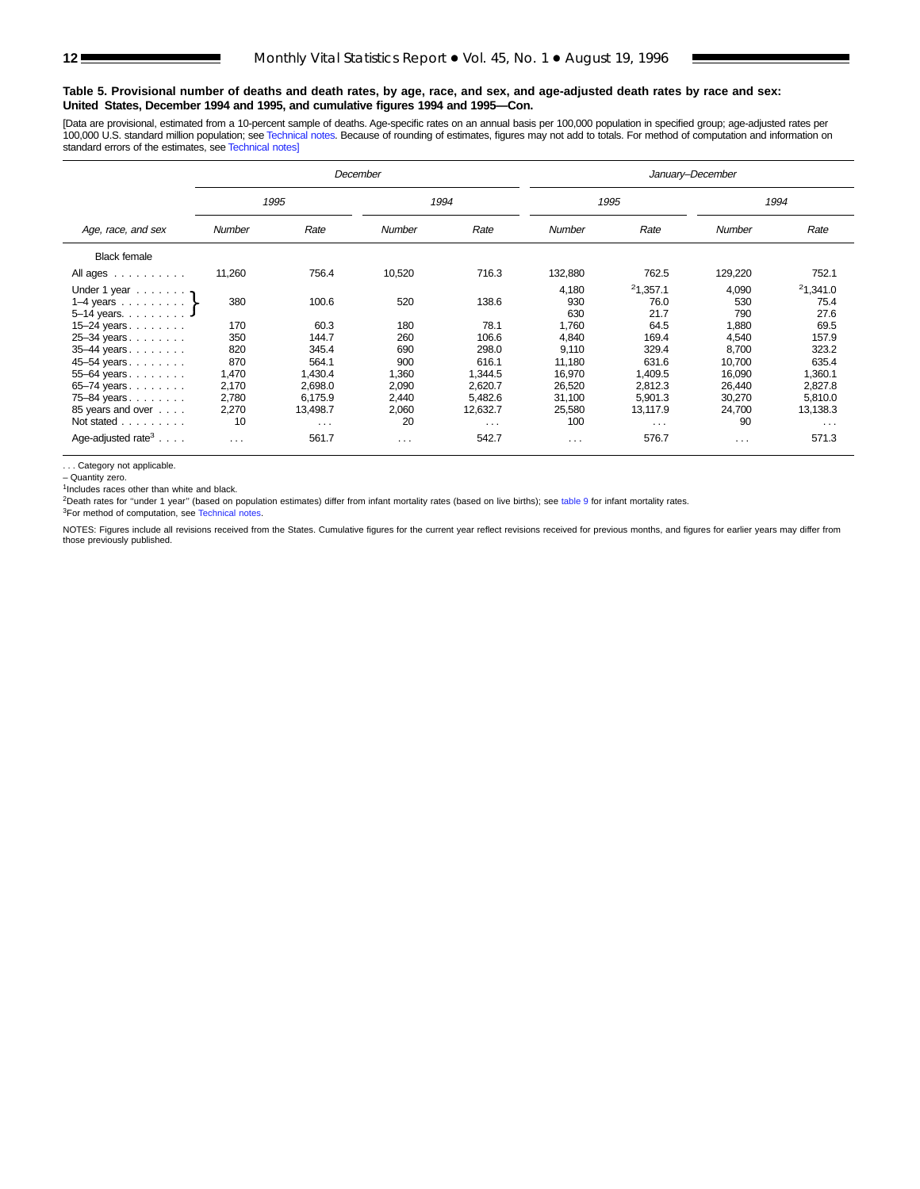#### **Table 5. Provisional number of deaths and death rates, by age, race, and sex, and age-adjusted death rates by race and sex: United States, December 1994 and 1995, and cumulative figures 1994 and 1995—Con.**

[Data are provisional, estimated from a 10-percent sample of deaths. Age-specific rates on an annual basis per 100,000 population in specified group; age-adjusted rates per<br>100,000 U.S. standard million population; see Tec standard errors of the estimates, see [Technical notes\]](#page-16-0)

|                                           |        |          | December |                      | January-December     |                      |          |          |  |  |
|-------------------------------------------|--------|----------|----------|----------------------|----------------------|----------------------|----------|----------|--|--|
|                                           |        | 1995     |          | 1994                 |                      | 1995                 | 1994     |          |  |  |
| Age, race, and sex                        | Number | Rate     | Number   | Rate                 | Number               | Rate                 | Number   | Rate     |  |  |
| <b>Black female</b>                       |        |          |          |                      |                      |                      |          |          |  |  |
| All ages                                  | 11,260 | 756.4    | 10,520   | 716.3                | 132,880              | 762.5                | 129,220  | 752.1    |  |  |
| Under 1 year $\ldots$ ,                   |        |          |          |                      | 4,180                | 21,357.1             | 4,090    | 21,341.0 |  |  |
| 1–4 years $\ldots \ldots$                 | 380    | 100.6    | 520      | 138.6                | 930                  | 76.0                 | 530      | 75.4     |  |  |
| 5-14 years. $\ldots$ J                    |        |          |          |                      | 630                  | 21.7                 | 790      | 27.6     |  |  |
| $15 - 24$ years                           | 170    | 60.3     | 180      | 78.1                 | 1,760                | 64.5                 | 1,880    | 69.5     |  |  |
| 25-34 years                               | 350    | 144.7    | 260      | 106.6                | 4.840                | 169.4                | 4,540    | 157.9    |  |  |
| 35-44 years                               | 820    | 345.4    | 690      | 298.0                | 9.110                | 329.4                | 8.700    | 323.2    |  |  |
| 45-54 years                               | 870    | 564.1    | 900      | 616.1                | 11,180               | 631.6                | 10,700   | 635.4    |  |  |
| 55-64 years.                              | 1,470  | 1,430.4  | 1,360    | 1,344.5              | 16,970               | 1,409.5              | 16,090   | 1,360.1  |  |  |
| 65-74 years                               | 2,170  | 2,698.0  | 2,090    | 2,620.7              | 26,520               | 2,812.3              | 26,440   | 2,827.8  |  |  |
| 75-84 years                               | 2,780  | 6,175.9  | 2,440    | 5,482.6              | 31,100               | 5,901.3              | 30,270   | 5,810.0  |  |  |
| 85 years and over                         | 2,270  | 13,498.7 | 2,060    | 12,632.7             | 25,580               | 13,117.9             | 24,700   | 13,138.3 |  |  |
| Not stated                                | 10     | $\cdots$ | 20       | $\sim$ $\sim$ $\sim$ | 100                  | $\sim$ $\sim$ $\sim$ | 90       | $\cdots$ |  |  |
| Age-adjusted rate <sup>3</sup> $\ldots$ . | .      | 561.7    | $\cdots$ | 542.7                | $\sim$ $\sim$ $\sim$ | 576.7                | $\cdots$ | 571.3    |  |  |

. . . Category not applicable.

– Quantity zero.

 $1$ Includes races other than white and black.

<sup>2</sup>Death rates for "under 1 year" (based on population estimates) differ from infant mortality rates (based on live births); see [table 9](#page-15-0) for infant mortality rates.

<sup>3</sup>For method of computation, see [Technical notes.](#page-16-0)

NOTES: Figures include all revisions received from the States. Cumulative figures for the current year reflect revisions received for previous months, and figures for earlier years may differ from those previously published.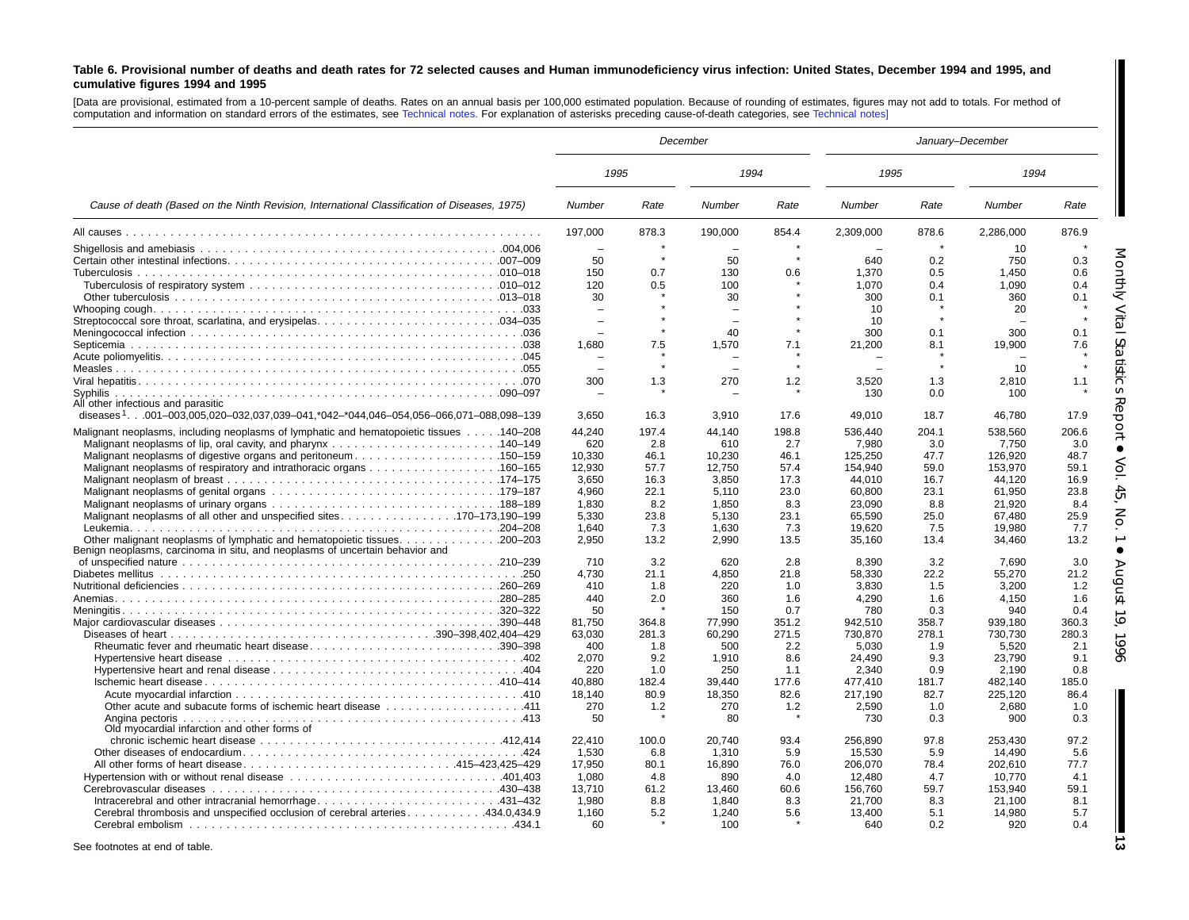#### <span id="page-12-0"></span>Table 6. Provisional number of deaths and death rates for 72 selected causes and Human immunodeficiency virus infection: United States, December 1994 and 1995, and **cumulative figures 1994 and 1995**

[Data are provisional, estimated from <sup>a</sup> 10-percent sample of deaths. Rates on an annual basis per 100,000 estimated population. Because of rounding of estimates, figures may not add to totals. For method of computation and information on standard errors of the estimates, see [Technical](#page-16-0) notes. For explanation of asterisks preceding cause-of-death categories, see [Technical](#page-16-0) notes]

|                                                                                                 | January-December<br>December |               |               |               |                  |             |                  |               |  |
|-------------------------------------------------------------------------------------------------|------------------------------|---------------|---------------|---------------|------------------|-------------|------------------|---------------|--|
|                                                                                                 | 1995                         |               | 1994          |               | 1995             |             | 1994             |               |  |
| Cause of death (Based on the Ninth Revision, International Classification of Diseases, 1975)    | <b>Number</b>                | Rate          | Number        | Rate          | Number           | Rate        | Number           | Rate          |  |
|                                                                                                 | 197.000                      | 878.3         | 190.000       | 854.4         | 2.309.000        | 878.6       | 2,286,000        | 876.9         |  |
|                                                                                                 |                              |               |               |               |                  |             | 10               |               |  |
|                                                                                                 | 50                           |               | 50            | $\star$       | 640              | 0.2         | 750              | 0.3           |  |
|                                                                                                 | 150                          | 0.7           | 130           | 0.6           | 1,370            | 0.5         | 1.450            | 0.6           |  |
|                                                                                                 | 120                          | 0.5           | 100           |               | 1,070            | 0.4         | 1.090            | 0.4           |  |
|                                                                                                 | 30                           |               | 30            |               | 300              | 0.1         | 360              | 0.1           |  |
|                                                                                                 |                              |               |               |               | 10               |             | 20               |               |  |
|                                                                                                 |                              |               | $\equiv$      |               | 10               |             | $\sim$           |               |  |
|                                                                                                 |                              |               | 40            |               | 300              | 0.1         | 300              | 0.1           |  |
|                                                                                                 | 1.680                        | 7.5           | 1,570         | 7.1           | 21,200           | 8.1         | 19,900           | 7.6           |  |
|                                                                                                 |                              |               |               |               |                  |             |                  |               |  |
|                                                                                                 |                              | $\star$       | $\equiv$      |               |                  |             | 10               |               |  |
|                                                                                                 | 300                          | 1.3           | 270           | 1.2           | 3,520            | 1.3         | 2,810            | 1.1           |  |
|                                                                                                 |                              |               |               |               | 130              | 0.0         | 100              |               |  |
| All other infectious and parasitic                                                              |                              |               |               |               |                  |             |                  |               |  |
| diseases <sup>1</sup> 001-003,005,020-032,037,039-041,*042-*044,046-054,056-066,071-088,098-139 | 3,650                        | 16.3          | 3,910         | 17.6          | 49,010           | 18.7        | 46,780           | 17.9          |  |
| Malignant neoplasms, including neoplasms of lymphatic and hematopoietic tissues 140–208         | 44.240                       | 197.4         | 44,140        | 198.8         | 536.440          | 204.1       | 538,560          | 206.6         |  |
|                                                                                                 | 620                          | 2.8           | 610           | 2.7           | 7,980            | 3.0         | 7,750            | 3.0           |  |
| Malignant neoplasms of digestive organs and peritoneum150–159                                   | 10,330                       | 46.1          | 10,230        | 46.1          | 125,250          | 47.7        | 126,920          | 48.7          |  |
|                                                                                                 | 12,930                       | 57.7          | 12,750        | 57.4          | 154,940          | 59.0        | 153,970          | 59.1          |  |
|                                                                                                 | 3,650                        | 16.3          | 3,850         | 17.3          | 44,010           | 16.7        | 44,120           | 16.9          |  |
|                                                                                                 | 4,960                        | 22.1          | 5,110         | 23.0          | 60,800           | 23.1        | 61,950           | 23.8          |  |
|                                                                                                 | 1,830                        | 8.2           | 1,850         | 8.3           | 23,090           | 8.8         | 21,920           | 8.4           |  |
| Malignant neoplasms of all other and unspecified sites170–173,190–199                           | 5,330                        | 23.8          | 5,130         | 23.1          | 65,590           | 25.0        | 67,480           | 25.9          |  |
|                                                                                                 | 1.640                        | 7.3           | 1,630         | 7.3           | 19,620           | 7.5         | 19,980           | 7.7           |  |
|                                                                                                 | 2.950                        | 13.2          | 2.990         | 13.5          | 35,160           | 13.4        | 34,460           | 13.2          |  |
| Benign neoplasms, carcinoma in situ, and neoplasms of uncertain behavior and                    |                              |               |               |               |                  |             |                  |               |  |
|                                                                                                 | 710                          | 3.2           | 620           | 2.8           | 8,390            | 3.2         | 7.690            | 3.0           |  |
|                                                                                                 | 4.730                        | 21.1          | 4,850         | 21.8          | 58,330           | 22.2        | 55,270           | 21.2          |  |
|                                                                                                 | 410                          | 1.8           | 220           | 1.0           | 3.830            | 1.5         | 3.200            | 1.2           |  |
|                                                                                                 | 440                          | 2.0           | 360           | 1.6           | 4.290            | 1.6         | 4.150            | 1.6           |  |
|                                                                                                 | 50                           |               | 150           | 0.7           | 780              | 0.3         | 940              | 0.4           |  |
|                                                                                                 | 81.750                       | 364.8         | 77,990        | 351.2         | 942,510          | 358.7       | 939.180          | 360.3         |  |
|                                                                                                 | 63.030                       | 281.3         | 60,290        | 271.5         | 730,870          | 278.1       | 730,730          | 280.3         |  |
| Rheumatic fever and rheumatic heart disease390-398                                              | 400                          | 1.8           | 500           | 2.2           | 5,030            | 1.9         | 5,520            | 2.1           |  |
|                                                                                                 | 2.070                        | 9.2           | 1,910         | 8.6           | 24,490           | 9.3         | 23,790           | 9.1           |  |
|                                                                                                 | 220                          | 1.0           | 250           | 1.1           | 2,340            | 0.9         | 2,190            | 0.8           |  |
|                                                                                                 | 40,880                       | 182.4<br>80.9 | 39,440        | 177.6<br>82.6 | 477,410          | 181.7       | 482,140          | 185.0<br>86.4 |  |
|                                                                                                 | 18,140<br>270                | 1.2           | 18,350<br>270 | 1.2           | 217,190<br>2,590 | 82.7<br>1.0 | 225,120<br>2,680 | 1.0           |  |
|                                                                                                 | 50                           |               | 80            |               |                  |             | 900              | 0.3           |  |
| Angina pectoris<br>Old myocardial infarction and other forms of                                 |                              |               |               |               | 730              | 0.3         |                  |               |  |
|                                                                                                 | 22,410                       | 100.0         | 20.740        | 93.4          | 256,890          | 97.8        | 253,430          | 97.2          |  |
|                                                                                                 | 1.530                        | 6.8           | 1,310         | 5.9           | 15,530           | 5.9         | 14,490           | 5.6           |  |
| All other forms of heart disease415–423,425–429                                                 | 17,950                       | 80.1          | 16,890        | 76.0          | 206,070          | 78.4        | 202,610          | 77.7          |  |
|                                                                                                 | 1.080                        | 4.8           | 890           | 4.0           | 12,480           | 4.7         | 10.770           | 4.1           |  |
|                                                                                                 | 13,710                       | 61.2          | 13,460        | 60.6          | 156,760          | 59.7        | 153,940          | 59.1          |  |
|                                                                                                 | 1.980                        | 8.8           | 1.840         | 8.3           | 21,700           | 8.3         | 21,100           | 8.1           |  |
| Cerebral thrombosis and unspecified occlusion of cerebral arteries 434.0,434.9                  | 1.160                        | 5.2           | 1,240         | 5.6           | 13,400           | 5.1         | 14,980           | 5.7           |  |
|                                                                                                 | 60                           |               | 100           |               | 640              | 0.2         | 920              | 0.4           |  |
|                                                                                                 |                              |               |               |               |                  |             |                  |               |  |

See footnotes at end of table.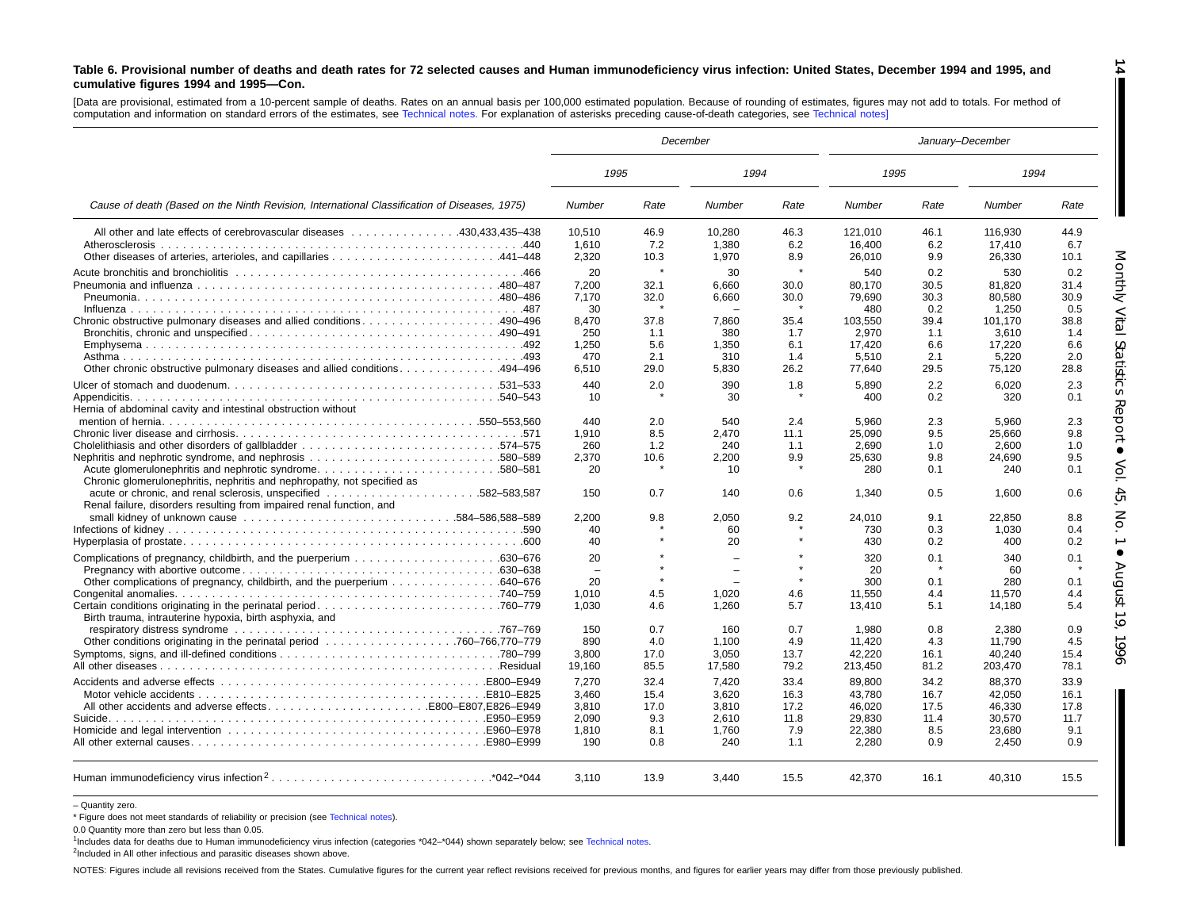#### Table 6. Provisional number of deaths and death rates for 72 selected causes and Human immunodeficiency virus infection: United States, December 1994 and 1995, and **cumulative figures 1994 and 1995—Con.**

[Data are provisional, estimated from a 10-percent sample of deaths. Rates on an annual basis per 100,000 estimated population. Because of rounding of estimates, figures may not add to totals. For method of computation and information on standard errors of the estimates, see [Technical](#page-16-0) notes. For explanation of asterisks preceding cause-of-death categories, see [Technical](#page-16-0) notes]

|                                                                                                                                                                                                                               |                                |              | December       |              | January-December |              |                  |              |  |
|-------------------------------------------------------------------------------------------------------------------------------------------------------------------------------------------------------------------------------|--------------------------------|--------------|----------------|--------------|------------------|--------------|------------------|--------------|--|
|                                                                                                                                                                                                                               | 1995                           |              | 1994           |              | 1995             |              | 1994             |              |  |
| Cause of death (Based on the Ninth Revision, International Classification of Diseases, 1975)                                                                                                                                  | Number                         | Rate         | Number         | Rate         | Number           | Rate         | Number           | Rate         |  |
| All other and late effects of cerebrovascular diseases 430,433,435–438                                                                                                                                                        | 10.510                         | 46.9         | 10.280         | 46.3         | 121.010          | 46.1         | 116.930          | 44.9         |  |
| Atherosclerosis                                                                                                                                                                                                               | 1,610<br>2.320                 | 7.2<br>10.3  | 1,380<br>1,970 | 6.2<br>8.9   | 16,400<br>26.010 | 6.2<br>9.9   | 17,410<br>26,330 | 6.7<br>10.1  |  |
|                                                                                                                                                                                                                               | 20                             | $\star$      | 30             | $\star$      | 540              | 0.2          | 530              | 0.2          |  |
| A80-487- A80-487. And influenza experience of the contract of the contract of the contract of the contract of the contract of the contract of the contract of the contract of the contract of the contract of the contract of | 7.200<br>7.170                 | 32.1<br>32.0 | 6.660<br>6,660 | 30.0<br>30.0 | 80.170<br>79,690 | 30.5<br>30.3 | 81.820<br>80,580 | 31.4<br>30.9 |  |
|                                                                                                                                                                                                                               | 30                             |              |                |              | 480              | 0.2          | 1,250            | 0.5          |  |
| Chronic obstructive pulmonary diseases and allied conditions490–496                                                                                                                                                           | 8.470<br>250                   | 37.8<br>1.1  | 7.860<br>380   | 35.4<br>1.7  | 103.550<br>2,970 | 39.4<br>1.1  | 101.170<br>3,610 | 38.8<br>1.4  |  |
|                                                                                                                                                                                                                               | 1,250<br>470                   | 5.6<br>2.1   | 1,350<br>310   | 6.1<br>1.4   | 17,420<br>5.510  | 6.6<br>2.1   | 17,220<br>5.220  | 6.6<br>2.0   |  |
| 0ther chronic obstructive pulmonary diseases and allied conditions494–496                                                                                                                                                     | 6.510                          | 29.0         | 5,830          | 26.2         | 77,640           | 29.5         | 75,120           | 28.8         |  |
|                                                                                                                                                                                                                               | 440<br>10                      | 2.0          | 390<br>30      | 1.8          | 5.890<br>400     | 2.2<br>0.2   | 6.020<br>320     | 2.3<br>0.1   |  |
| Hernia of abdominal cavity and intestinal obstruction without                                                                                                                                                                 | 440                            | 2.0          | 540            | 2.4          | 5.960            | 2.3          | 5.960            | 2.3          |  |
|                                                                                                                                                                                                                               | 1,910                          | 8.5          | 2.470          | 11.1         | 25,090           | 9.5          | 25,660           | 9.8          |  |
|                                                                                                                                                                                                                               | 260                            | 1.2          | 240            | 1.1          | 2.690            | 1.0          | 2.600            | 1.0          |  |
| Acute glomerulonephritis and nephrotic syndrome580–581<br>Chronic glomerulonephritis, nephritis and nephropathy, not specified as                                                                                             | 2.370<br>20                    | 10.6         | 2.200<br>10    | 9.9          | 25.630<br>280    | 9.8<br>0.1   | 24.690<br>240    | 9.5<br>0.1   |  |
| Renal failure, disorders resulting from impaired renal function, and                                                                                                                                                          | 150                            | 0.7          | 140            | 0.6          | 1.340            | 0.5          | 1.600            | 0.6          |  |
|                                                                                                                                                                                                                               | 2.200                          | 9.8          | 2.050          | 9.2          | 24.010           | 9.1          | 22.850           | 8.8          |  |
|                                                                                                                                                                                                                               | 40<br>40                       |              | 60<br>20       |              | 730<br>430       | 0.3<br>0.2   | 1,030<br>400     | 0.4<br>0.2   |  |
|                                                                                                                                                                                                                               | 20<br>$\overline{\phantom{0}}$ |              |                |              | 320<br>20        | 0.1          | 340<br>60        | 0.1          |  |
|                                                                                                                                                                                                                               | 20                             |              |                |              | 300              | 0.1          | 280              | 0.1          |  |
| Birth trauma, intrauterine hypoxia, birth asphyxia, and                                                                                                                                                                       | 1,010<br>1.030                 | 4.5<br>4.6   | 1,020<br>1.260 | 4.6<br>5.7   | 11,550<br>13.410 | 4.4<br>5.1   | 11,570<br>14.180 | 4.4<br>5.4   |  |
|                                                                                                                                                                                                                               | 150                            | 0.7          | 160            | 0.7          | 1,980            | 0.8          | 2,380            | 0.9          |  |
|                                                                                                                                                                                                                               | 890                            | 4.0          | 1.100          | 4.9          | 11,420           | 4.3          | 11.790           | 4.5          |  |
|                                                                                                                                                                                                                               | 3,800                          | 17.0         | 3,050          | 13.7         | 42,220           | 16.1         | 40,240           | 15.4         |  |
|                                                                                                                                                                                                                               | 19.160                         | 85.5         | 17.580         | 79.2         | 213,450          | 81.2         | 203,470          | 78.1         |  |
|                                                                                                                                                                                                                               | 7,270<br>3.460                 | 32.4<br>15.4 | 7,420<br>3.620 | 33.4<br>16.3 | 89,800<br>43.780 | 34.2<br>16.7 | 88,370<br>42.050 | 33.9<br>16.1 |  |
| All other accidents and adverse effectsB800-E807.E826-E949                                                                                                                                                                    | 3.810                          | 17.0         | 3.810          | 17.2         | 46.020           | 17.5         | 46.330           | 17.8         |  |
| Suicide.                                                                                                                                                                                                                      | 2.090                          | 9.3          | 2.610          | 11.8         | 29,830           | 11.4         | 30,570           | 11.7         |  |
| Homicide and legal intervention E960–E978                                                                                                                                                                                     | 1.810<br>190                   | 8.1<br>0.8   | 1.760<br>240   | 7.9<br>1.1   | 22.380<br>2,280  | 8.5<br>0.9   | 23.680<br>2,450  | 9.1<br>0.9   |  |
|                                                                                                                                                                                                                               | 3,110                          | 13.9         | 3,440          | 15.5         | 42,370           | 16.1         | 40,310           | 15.5         |  |

<sup>–</sup> Quantity zero.

NOTES: Figures include all revisions received from the States. Cumulative figures for the current year reflect revisions received for previous months, and figures for earlier years may differ from those previously publishe

**14**

IF

<sup>\*</sup> Figure does not meet standards of reliability or precision (see [Technical](#page-16-0) notes).

<sup>0.0</sup> Quantity more than zero but less than 0.05.

<sup>1</sup>Includes data for deaths due to Human immunodeficiency virus infection (categories \*042–\*044) shown separately below; see [Technical](#page-16-0) notes.

 $2$ Included in All other infectious and parasitic diseases shown above.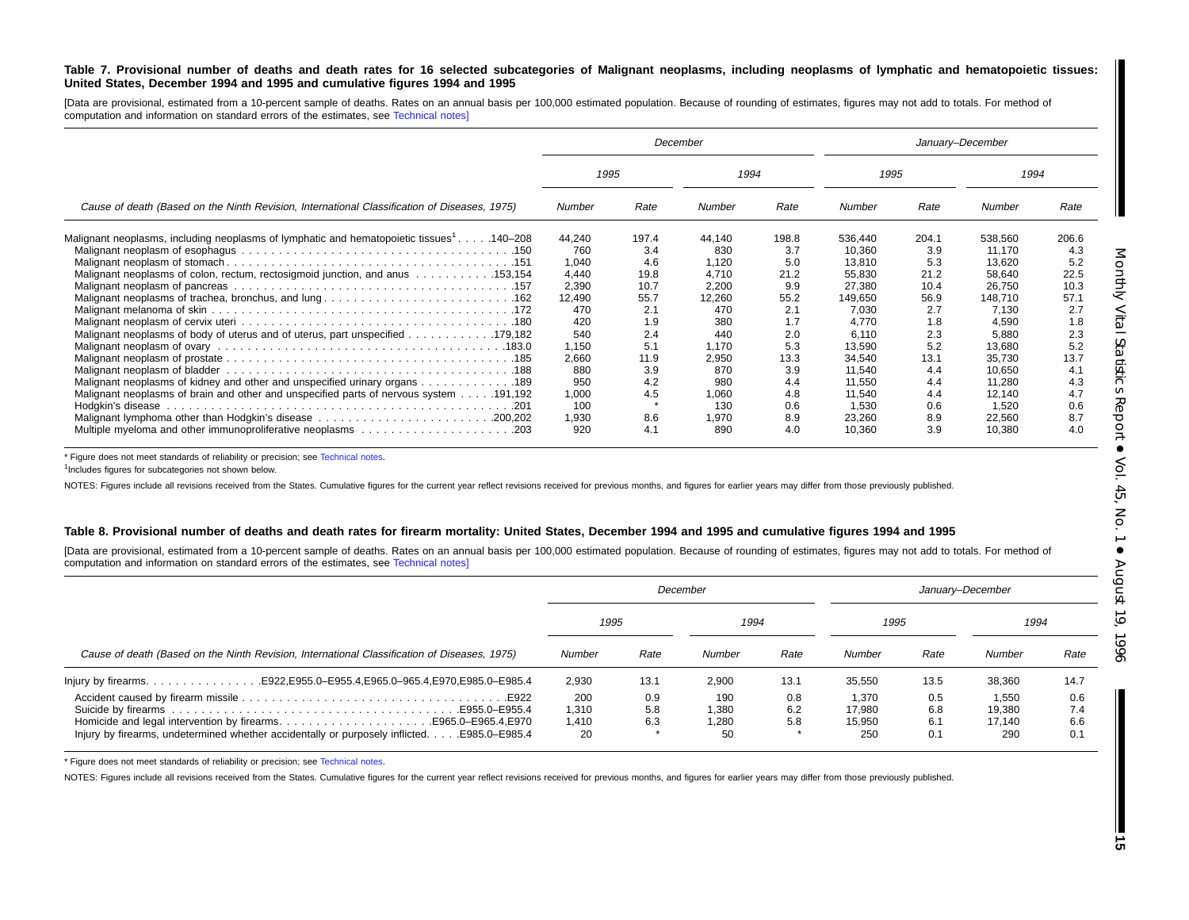#### Table 7. Provisional number of deaths and death rates for 16 selected subcategories of Malignant neoplasms, including neoplasms of lymphatic and hematopoietic tissues: United States, December 1994 and 1995 and cumulative figures 1994 and 1995

[Data are provisional, estimated from a 10-percent sample of deaths. Rates on an annual basis per 100,000 estimated population. Because of rounding of estimates, figures may not add to totals. For method of computation and information on standard errors of the estimates, see [Technical](#page-16-0) notes]

|                                                                                                      |        |       | December |       |         |       | January-December |       |
|------------------------------------------------------------------------------------------------------|--------|-------|----------|-------|---------|-------|------------------|-------|
|                                                                                                      | 1995   |       |          | 1994  |         | 1995  | 1994             |       |
| Cause of death (Based on the Ninth Revision, International Classification of Diseases, 1975)         | Number | Rate  | Number   | Rate  | Number  | Rate  | Number           | Rate  |
| Malignant neoplasms, including neoplasms of lymphatic and hematopoietic tissues <sup>1</sup> 140–208 | 44,240 | 197.4 | 44,140   | 198.8 | 536,440 | 204.1 | 538,560          | 206.6 |
|                                                                                                      | 760    | 3.4   | 830      | 3.7   | 10,360  | 3.9   | 11.170           | 4.3   |
|                                                                                                      | 1,040  | 4.6   | 1,120    | 5.0   | 13.810  | 5.3   | 13.620           | 5.2   |
| Malignant neoplasms of colon, rectum, rectosigmoid junction, and anus  153,154                       | 4,440  | 19.8  | 4,710    | 21.2  | 55,830  | 21.2  | 58,640           | 22.5  |
|                                                                                                      | 2,390  | 10.7  | 2,200    | 9.9   | 27,380  | 10.4  | 26,750           | 10.3  |
| Malignant neoplasms of trachea, bronchus, and lung162                                                | 12,490 | 55.7  | 12,260   | 55.2  | 149,650 | 56.9  | 148,710          | 57.1  |
|                                                                                                      | 470    | 2.1   | 470      | 2.1   | 7,030   | 2.7   | 7,130            | 2.7   |
|                                                                                                      | 420    | 1.9   | 380      | 1.7   | 4.770   | 1.8   | 4,590            | 1.8   |
| 179,182. 179,182                                                                                     | 540    | 2.4   | 440      | 2.0   | 6,110   | 2.3   | 5,880            | 2.3   |
|                                                                                                      | 1,150  | 5.1   | 1,170    | 5.3   | 13,590  | 5.2   | 13,680           | 5.2   |
|                                                                                                      | 2,660  | 11.9  | 2,950    | 13.3  | 34,540  | 13.1  | 35,730           | 13.7  |
|                                                                                                      | 880    | 3.9   | 870      | 3.9   | 11,540  | 4.4   | 10.650           | 4.1   |
| Malignant neoplasms of kidney and other and unspecified urinary organs 189                           | 950    | 4.2   | 980      | 4.4   | 11.550  | 4.4   | 11.280           | 4.3   |
| Malignant neoplasms of brain and other and unspecified parts of nervous system 191,192               | 1,000  | 4.5   | 1,060    | 4.8   | 11,540  | 4.4   | 12,140           | 4.7   |
|                                                                                                      | 100    |       | 130      | 0.6   | 1,530   | 0.6   | 1,520            | 0.6   |
| Malignant lymphoma other than Hodgkin's disease 200,202                                              | 1,930  | 8.6   | 1,970    | 8.9   | 23,260  | 8.9   | 22,560           | 8.7   |
|                                                                                                      | 920    | 4.1   | 890      | 4.0   | 10.360  | 3.9   | 10.380           | 4.0   |

\* Figure does not meet standards of reliability or precision; see [Technical](#page-16-0) notes.

<sup>1</sup>Includes figures for subcategories not shown below.

NOTES: Figures include all revisions received from the States. Cumulative figures for the current year reflect revisions received for previous months, and figures for earlier years may differ from those previously publishe

#### Table 8. Provisional number of deaths and death rates for firearm mortality: United States, December 1994 and 1995 and cumulative figures 1994 and 1995

[Data are provisional, estimated from a 10-percent sample of deaths. Rates on an annual basis per 100,000 estimated population. Because of rounding of estimates, figures may not add to totals. For method of computation and information on standard errors of the estimates, see [Technical](#page-16-0) notes]

|                                                                                                                                                                  |                             |                   | December                    |                   |                                  |                          | January-December                 |                          |  |
|------------------------------------------------------------------------------------------------------------------------------------------------------------------|-----------------------------|-------------------|-----------------------------|-------------------|----------------------------------|--------------------------|----------------------------------|--------------------------|--|
|                                                                                                                                                                  | 1995                        |                   | 1994                        |                   | 1995                             |                          | 1994                             |                          |  |
| Cause of death (Based on the Ninth Revision, International Classification of Diseases, 1975)                                                                     | Number                      | Rate              | Number                      | Rate              | Number                           | Rate                     | Number                           | Rate                     |  |
|                                                                                                                                                                  | 2.930                       | 13.1              | 2.900                       | 13.1              | 35.550                           | 13.5                     | 38,360                           | 14.7                     |  |
| Homicide and legal intervention by firearmsE965.0–E965.4, E970<br>Injury by firearms, undetermined whether accidentally or purposely inflicted.<br>E985.0-E985.4 | 200<br>1,310<br>l.410<br>20 | 0.9<br>5.8<br>6.3 | 190<br>1,380<br>1.280<br>50 | 0.8<br>6.2<br>5.8 | 1,370<br>17.980<br>15.950<br>250 | 0.5<br>6.8<br>6.1<br>0.1 | 1,550<br>19.380<br>17.140<br>290 | 0.6<br>7.4<br>6.6<br>0.1 |  |

\* Figure does not meet standards of reliability or precision; see [Technical](#page-16-0) notes.

NOTES: Figures include all revisions received from the States. Cumulative figures for the current year reflect revisions received for previous months, and figures for earlier years may differ from those previously publishe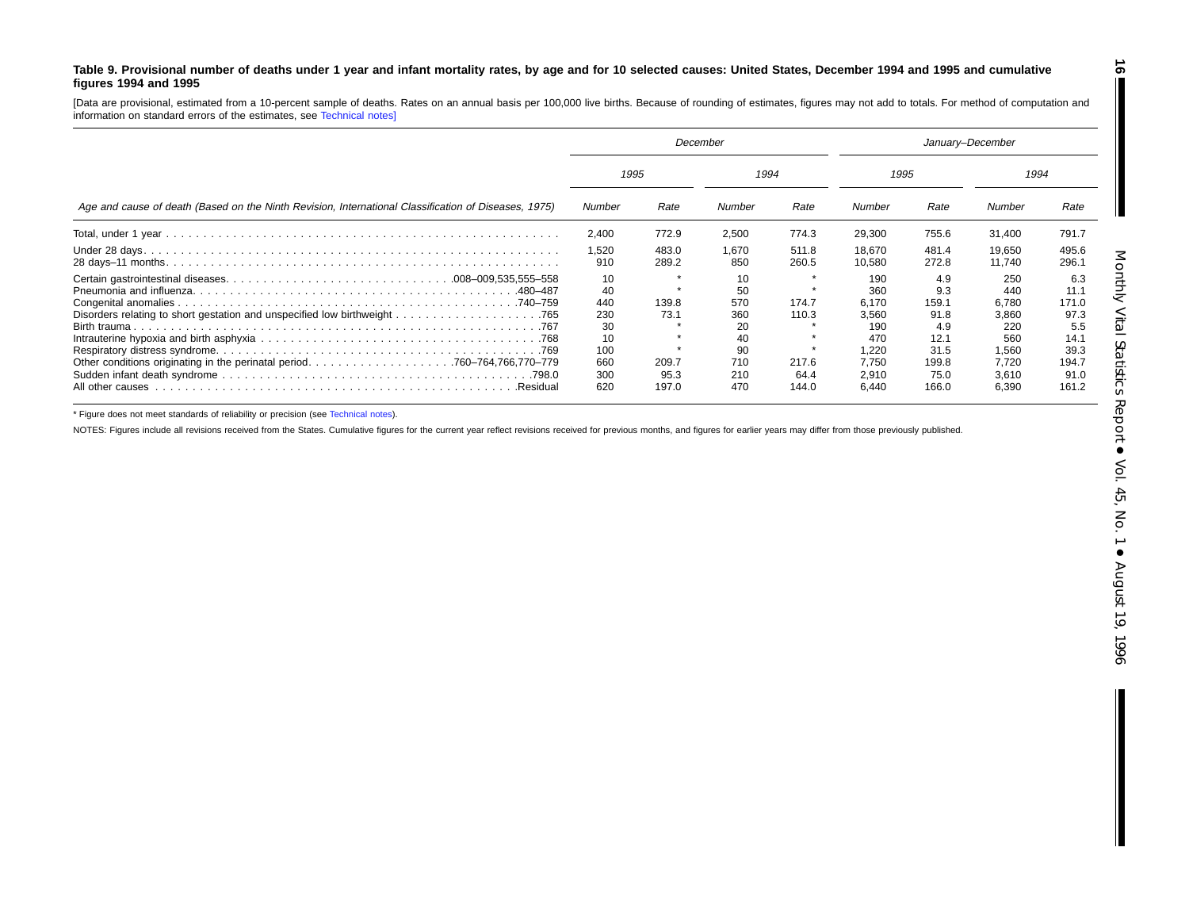#### <span id="page-15-0"></span>Table 9. Provisional number of deaths under 1 year and infant mortality rates, by age and for 10 selected causes: United States, December 1994 and 1995 and cumulative **figures 1994 and 1995**

[Data are provisional, estimated from <sup>a</sup> 10-percent sample of deaths. Rates on an annual basis per 100,000 live births. Because of rounding of estimates, figures may not add to totals. For method of computation and information on standard errors of the estimates, see [Technical](#page-16-0) notes]

|                                                                                                          | December                 |                        |                         |                        | January-December                 |                                |                                  |                                |
|----------------------------------------------------------------------------------------------------------|--------------------------|------------------------|-------------------------|------------------------|----------------------------------|--------------------------------|----------------------------------|--------------------------------|
| Age and cause of death (Based on the Ninth Revision, International Classification of Diseases, 1975)     | 1995                     |                        | 1994                    |                        | 1995                             |                                | 1994                             |                                |
|                                                                                                          | Number                   | Rate                   | Number                  | Rate                   | Number                           | Rate                           | Number                           | Rate                           |
|                                                                                                          | 2.400                    | 772.9                  | 2,500                   | 774.3                  | 29,300                           | 755.6                          | 31,400                           | 791.7                          |
|                                                                                                          | 1,520<br>910             | 483.0<br>289.2         | 1.670<br>850            | 511.8<br>260.5         | 18,670<br>10,580                 | 481.4<br>272.8                 | 19,650<br>11.740                 | 495.6<br>296.1                 |
|                                                                                                          | 10<br>40<br>440          | $\star$<br>139.8       | 10<br>50<br>570         | 174.7                  | 190<br>360<br>6.170              | 4.9<br>9.3<br>159.1            | 250<br>440<br>6,780              | 6.3<br>11.1<br>171.0           |
|                                                                                                          | 230<br>30<br>10          | 73.1                   | 360<br>20<br>40         | 110.3                  | 3.560<br>190<br>470              | 91.8<br>4.9<br>12.1            | 3,860<br>220<br>560              | 97.3<br>5.5<br>14.1            |
| Other conditions originating in the perinatal period760-764,766,770-779<br>All other causes<br>.Residual | 100<br>660<br>300<br>620 | 209.7<br>95.3<br>197.0 | 90<br>710<br>210<br>470 | 217.6<br>64.4<br>144.0 | 1.220<br>7.750<br>2.910<br>6,440 | 31.5<br>199.8<br>75.0<br>166.0 | 1.560<br>7.720<br>3,610<br>6,390 | 39.3<br>194.7<br>91.0<br>161.2 |

\* Figure does not meet standards of reliability or precision (see [Technical](#page-16-0) notes).

NOTES: Figures include all revisions received from the States. Cumulative figures for the current year reflect revisions received for previous months, and figures for earlier years may differ from those previously publishe

**16**

 $\blacksquare$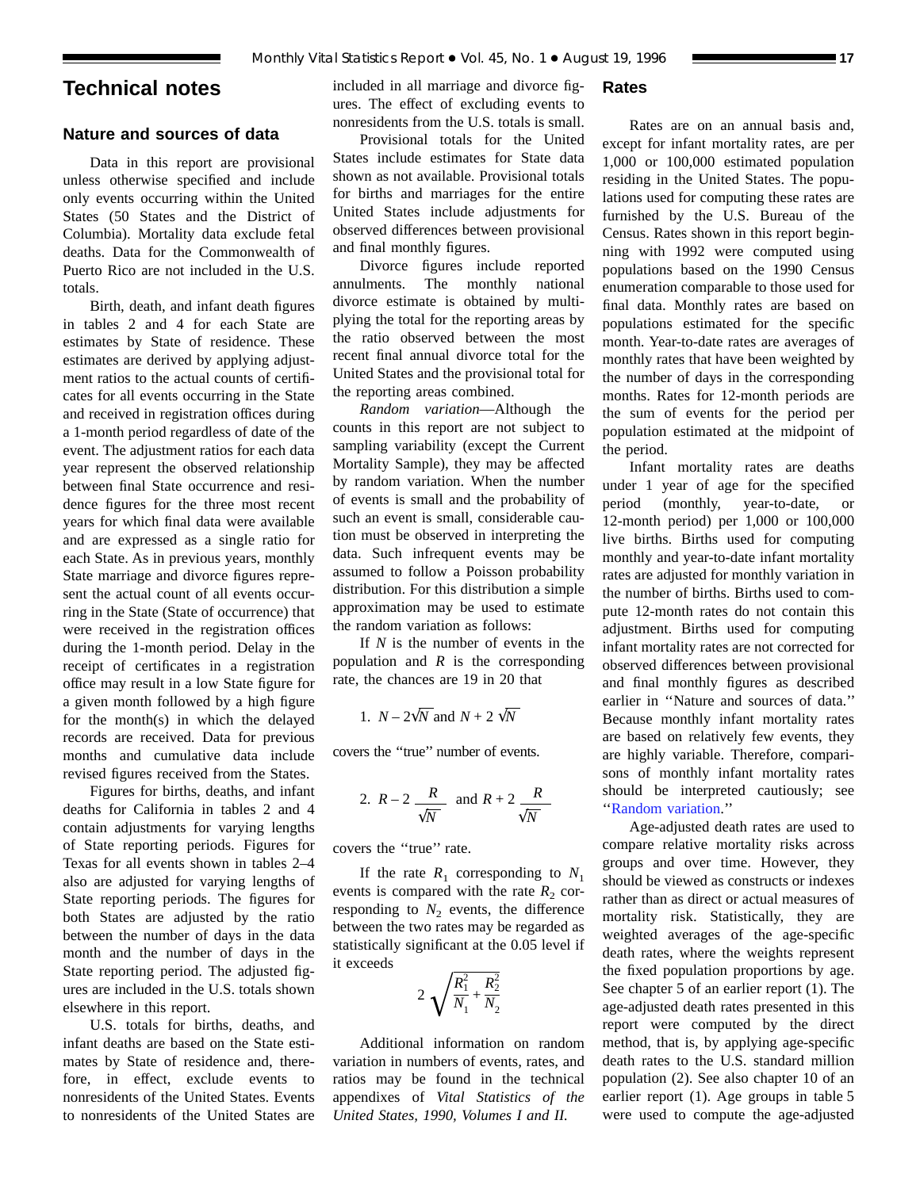## <span id="page-16-0"></span>**Technical notes**

## **Nature and sources of data**

Data in this report are provisional unless otherwise specified and include only events occurring within the United States (50 States and the District of Columbia). Mortality data exclude fetal deaths. Data for the Commonwealth of Puerto Rico are not included in the U.S. totals.

Birth, death, and infant death figures in [tables 2](#page-6-0) and [4](#page-8-0) for each State are estimates by State of residence. These estimates are derived by applying adjustment ratios to the actual counts of certificates for all events occurring in the State and received in registration offices during a 1-month period regardless of date of the event. The adjustment ratios for each data year represent the observed relationship between final State occurrence and residence figures for the three most recent years for which final data were available and are expressed as a single ratio for each State. As in previous years, monthly State marriage and divorce figures represent the actual count of all events occurring in the State (State of occurrence) that were received in the registration offices during the 1-month period. Delay in the receipt of certificates in a registration office may result in a low State figure for a given month followed by a high figure for the month(s) in which the delayed records are received. Data for previous months and cumulative data include revised figures received from the States.

Figures for births, deaths, and infant deaths for California in [tables 2](#page-6-0) and [4](#page-8-0) contain adjustments for varying lengths of State reporting periods. Figures for Texas for all events shown in [tables 2–4](#page-6-0) also are adjusted for varying lengths of State reporting periods. The figures for both States are adjusted by the ratio between the number of days in the data month and the number of days in the State reporting period. The adjusted figures are included in the U.S. totals shown elsewhere in this report.

U.S. totals for births, deaths, and infant deaths are based on the State estimates by State of residence and, therefore, in effect, exclude events to nonresidents of the United States. Events to nonresidents of the United States are included in all marriage and divorce figures. The effect of excluding events to nonresidents from the U.S. totals is small.

## Provisional totals for the United States include estimates for State data shown as not available. Provisional totals for births and marriages for the entire United States include adjustments for observed differences between provisional and final monthly figures.

Divorce figures include reported annulments. The monthly national divorce estimate is obtained by multiplying the total for the reporting areas by the ratio observed between the most recent final annual divorce total for the United States and the provisional total for the reporting areas combined.

*Random variation*—Although the counts in this report are not subject to sampling variability (except the Current Mortality Sample), they may be affected by random variation. When the number of events is small and the probability of such an event is small, considerable caution must be observed in interpreting the data. Such infrequent events may be assumed to follow a Poisson probability distribution. For this distribution a simple approximation may be used to estimate the random variation as follows:

If *N* is the number of events in the population and *R* is the corresponding rate, the chances are 19 in 20 that

1. 
$$
N - 2\sqrt{N}
$$
 and  $N + 2\sqrt{N}$ 

covers the ''true'' number of events.

2. 
$$
R-2
$$
  $\frac{R}{\sqrt{N}}$  and  $R+2$   $\frac{R}{\sqrt{N}}$ 

covers the ''true'' rate.

If the rate  $R_1$  corresponding to  $N_1$ events is compared with the rate  $R_2$  corresponding to  $N_2$  events, the difference between the two rates may be regarded as statistically significant at the 0.05 level if it exceeds

$$
2\sqrt{\frac{R_1^2}{N_1} + \frac{R_2^2}{N_2}}
$$

Additional information on random variation in numbers of events, rates, and ratios may be found in the technical appendixes of *Vital Statistics of the United States, 1990, Volumes I and II.*

## **Rates**

Rates are on an annual basis and, except for infant mortality rates, are per 1,000 or 100,000 estimated population residing in the United States. The populations used for computing these rates are furnished by the U.S. Bureau of the Census. Rates shown in this report beginning with 1992 were computed using populations based on the 1990 Census enumeration comparable to those used for final data. Monthly rates are based on populations estimated for the specific month. Year-to-date rates are averages of monthly rates that have been weighted by the number of days in the corresponding months. Rates for 12-month periods are the sum of events for the period per population estimated at the midpoint of the period.

Infant mortality rates are deaths under 1 year of age for the specified period (monthly, year-to-date, or 12-month period) per 1,000 or 100,000 live births. Births used for computing monthly and year-to-date infant mortality rates are adjusted for monthly variation in the number of births. Births used to compute 12-month rates do not contain this adjustment. Births used for computing infant mortality rates are not corrected for observed differences between provisional and final monthly figures as described earlier in ''Nature and sources of data.'' Because monthly infant mortality rates are based on relatively few events, they are highly variable. Therefore, comparisons of monthly infant mortality rates should be interpreted cautiously; see ''Random variation.''

Age-adjusted death rates are used to compare relative mortality risks across groups and over time. However, they should be viewed as constructs or indexes rather than as direct or actual measures of mortality risk. Statistically, they are weighted averages of the age-specific death rates, where the weights represent the fixed population proportions by age. See chapter 5 of an earlier report (1). The age-adjusted death rates presented in this report were computed by the direct method, that is, by applying age-specific death rates to the U.S. standard million population (2). See also chapter 10 of an earlier report (1). Age groups in [table 5](#page-9-0) were used to compute the age-adjusted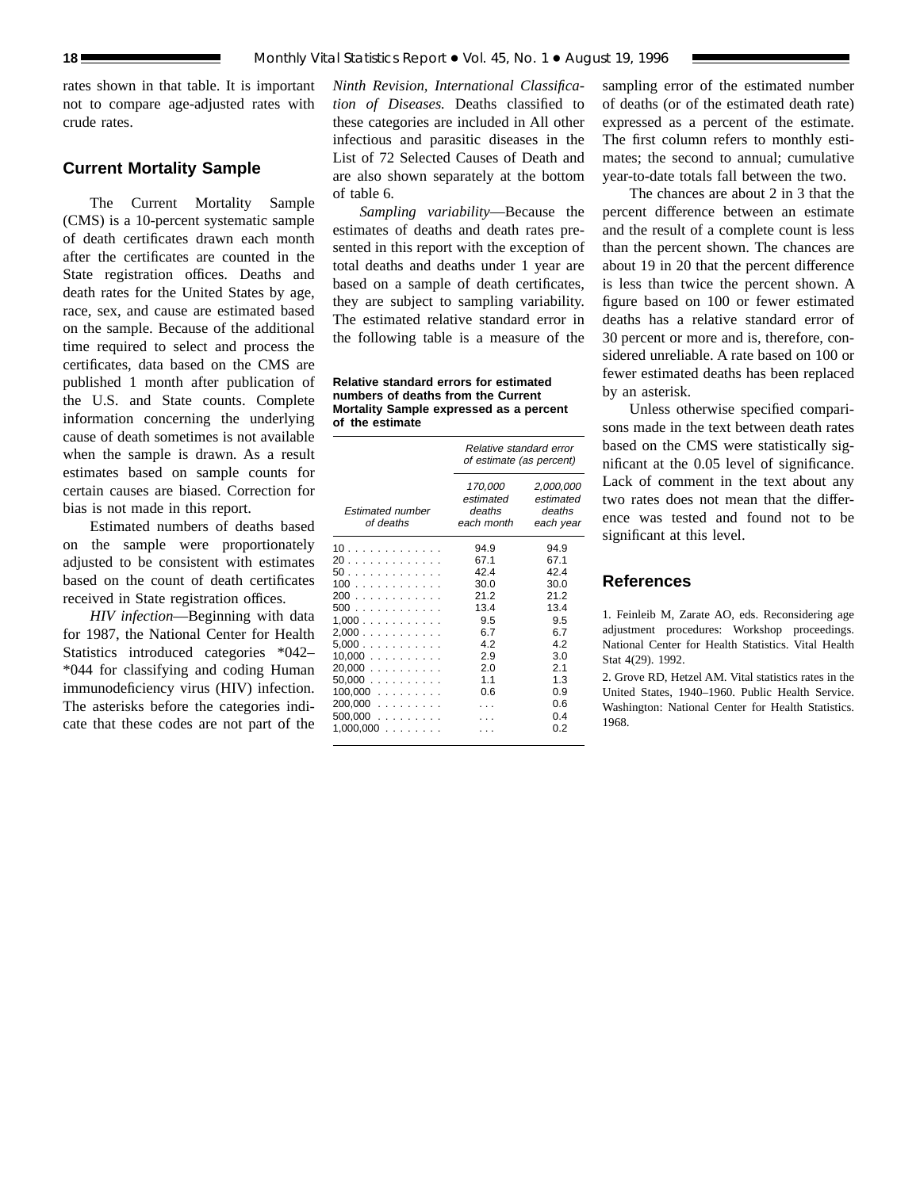rates shown in that table. It is important not to compare age-adjusted rates with crude rates.

## **Current Mortality Sample**

The Current Mortality Sample (CMS) is a 10-percent systematic sample of death certificates drawn each month after the certificates are counted in the State registration offices. Deaths and death rates for the United States by age, race, sex, and cause are estimated based on the sample. Because of the additional time required to select and process the certificates, data based on the CMS are published 1 month after publication of the U.S. and State counts. Complete information concerning the underlying cause of death sometimes is not available when the sample is drawn. As a result estimates based on sample counts for certain causes are biased. Correction for bias is not made in this report.

Estimated numbers of deaths based on the sample were proportionately adjusted to be consistent with estimates based on the count of death certificates received in State registration offices.

*HIV infection*—Beginning with data for 1987, the National Center for Health Statistics introduced categories \*042– \*044 for classifying and coding Human immunodeficiency virus (HIV) infection. The asterisks before the categories indicate that these codes are not part of the

*Ninth Revision, International Classification of Diseases.* Deaths classified to these categories are included in All other infectious and parasitic diseases in the List of 72 Selected Causes of Death and are also shown separately at the bottom of [table 6.](#page-12-0)

*Sampling variability*—Because the estimates of deaths and death rates presented in this report with the exception of total deaths and deaths under 1 year are based on a sample of death certificates, they are subject to sampling variability. The estimated relative standard error in the following table is a measure of the

**Relative standard errors for estimated numbers of deaths from the Current Mortality Sample expressed as a percent of the estimate**

|                                                                                                                 | Relative standard error<br>of estimate (as percent)                                         |                                                                                                  |  |
|-----------------------------------------------------------------------------------------------------------------|---------------------------------------------------------------------------------------------|--------------------------------------------------------------------------------------------------|--|
| <b>Estimated number</b><br>of deaths                                                                            | 170,000<br>estimated<br>deaths<br>each month                                                | 2,000,000<br>estimated<br>deaths<br>each year                                                    |  |
| 10.<br>20<br>50.<br>100<br>200<br>500<br>1.000<br>2,000<br>5.000<br>$10,000$<br>$20,000$<br>50,000<br>$100,000$ | 94.9<br>67.1<br>42.4<br>30.0<br>212<br>13.4<br>9.5<br>6.7<br>42<br>2.9<br>2.0<br>1.1<br>0.6 | 94.9<br>67.1<br>424<br>30.0<br>212<br>13.4<br>9.5<br>67<br>42<br>3.0<br>2.1<br>1.3<br>0.9<br>0.6 |  |
| $200,000$<br>$500,000$<br>1,000,000<br>.                                                                        |                                                                                             | 04<br>0 2                                                                                        |  |

sampling error of the estimated number of deaths (or of the estimated death rate) expressed as a percent of the estimate. The first column refers to monthly estimates; the second to annual; cumulative year-to-date totals fall between the two.

The chances are about 2 in 3 that the percent difference between an estimate and the result of a complete count is less than the percent shown. The chances are about 19 in 20 that the percent difference is less than twice the percent shown. A figure based on 100 or fewer estimated deaths has a relative standard error of 30 percent or more and is, therefore, considered unreliable. A rate based on 100 or fewer estimated deaths has been replaced by an asterisk.

Unless otherwise specified comparisons made in the text between death rates based on the CMS were statistically significant at the 0.05 level of significance. Lack of comment in the text about any two rates does not mean that the difference was tested and found not to be significant at this level.

## **References**

1. Feinleib M, Zarate AO, eds. Reconsidering age adjustment procedures: Workshop proceedings. National Center for Health Statistics. Vital Health Stat 4(29). 1992.

2. Grove RD, Hetzel AM. Vital statistics rates in the United States, 1940–1960. Public Health Service. Washington: National Center for Health Statistics. 1968.